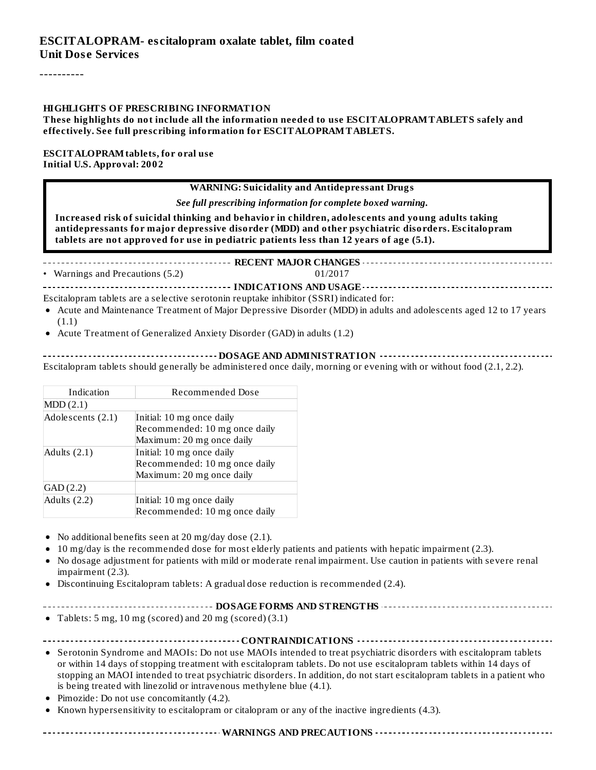----------

#### **HIGHLIGHTS OF PRESCRIBING INFORMATION**

#### **These highlights do not include all the information needed to use ESCITALOPRAMTABLETS safely and effectively. See full prescribing information for ESCITALOPRAMTABLETS.**

#### **ESCITALOPRAMtablets, for oral use Initial U.S. Approval: 2002**

#### **WARNING: Suicidality and Antidepressant Drugs**

*See full prescribing information for complete boxed warning.*

**Increased risk of suicidal thinking and behavior in children, adolescents and young adults taking antidepressants for major depressive disorder (MDD) and other psychiatric disorders. Escitalopram tablets are not approved for use in pediatric patients less than 12 years of age (5.1).**

#### **RECENT MAJOR CHANGES**

• Warnings and Precautions (5.2) 01/2017

**INDICATIONS AND USAGE INDICATIONS AND USAGE** *CONSIDERATIONS* **AND USAGE** *AND* **USAGE** *AND* **USAGE** *AND* 

Escitalopram tablets are a selective serotonin reuptake inhibitor (SSRI) indicated for:

- Acute and Maintenance Treatment of Major Depressive Disorder (MDD) in adults and adolescents aged 12 to 17 years (1.1)
- Acute Treatment of Generalized Anxiety Disorder (GAD) in adults (1.2)

**DOSAGE AND ADMINISTRATION** Escitalopram tablets should generally be administered once daily, morning or evening with or without food (2.1, 2.2).

| Indication        | Recommended Dose                                                                        |  |
|-------------------|-----------------------------------------------------------------------------------------|--|
| MDD(2.1)          |                                                                                         |  |
| Adolescents (2.1) | Initial: 10 mg once daily<br>Recommended: 10 mg once daily<br>Maximum: 20 mg once daily |  |
| Adults $(2.1)$    | Initial: 10 mg once daily<br>Recommended: 10 mg once daily<br>Maximum: 20 mg once daily |  |
| GAD(2.2)          |                                                                                         |  |
| Adults $(2.2)$    | Initial: 10 mg once daily<br>Recommended: 10 mg once daily                              |  |

- No additional benefits seen at 20 mg/day dose (2.1).
- 10 mg/day is the recommended dose for most elderly patients and patients with hepatic impairment (2.3).  $\bullet$
- No dosage adjustment for patients with mild or moderate renal impairment. Use caution in patients with severe renal  $\bullet$ impairment (2.3).
- Discontinuing Escitalopram tablets: A gradual dose reduction is recommended (2.4).  $\bullet$

#### **DOSAGE FORMS AND STRENGTHS**

Tablets: 5 mg, 10 mg (scored) and 20 mg (scored) (3.1)

#### **CONTRAINDICATIONS**

- Serotonin Syndrome and MAOIs: Do not use MAOIs intended to treat psychiatric disorders with escitalopram tablets or within 14 days of stopping treatment with escitalopram tablets. Do not use escitalopram tablets within 14 days of stopping an MAOI intended to treat psychiatric disorders. In addition, do not start escitalopram tablets in a patient who is being treated with linezolid or intravenous methylene blue (4.1).
- Pimozide: Do not use concomitantly (4.2).
- Known hypersensitivity to escitalopram or citalopram or any of the inactive ingredients (4.3).

#### **WARNINGS AND PRECAUTIONS**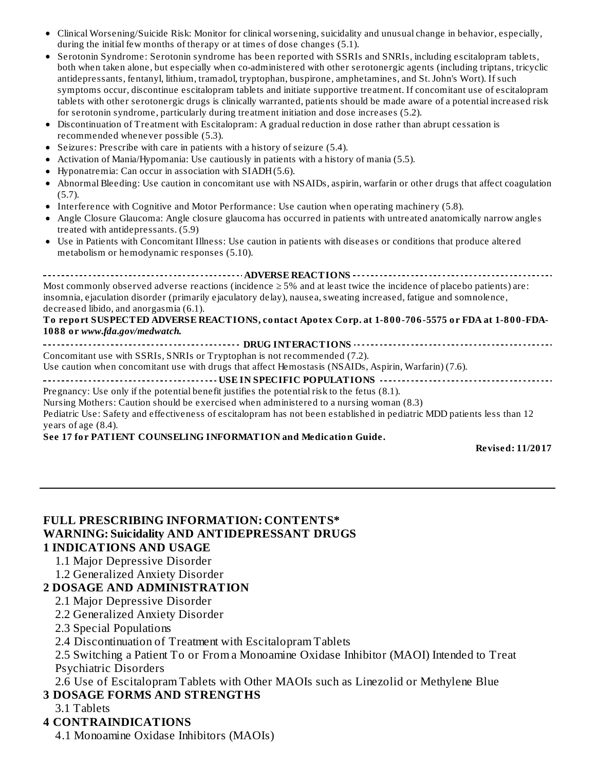- Clinical Worsening/Suicide Risk: Monitor for clinical worsening, suicidality and unusual change in behavior, especially, during the initial few months of therapy or at times of dose changes (5.1).
- Serotonin Syndrome: Serotonin syndrome has been reported with SSRIs and SNRIs, including escitalopram tablets,  $\bullet$ both when taken alone, but especially when co-administered with other serotonergic agents (including triptans, tricyclic antidepressants, fentanyl, lithium, tramadol, tryptophan, buspirone, amphetamines, and St. John's Wort). If such symptoms occur, discontinue escitalopram tablets and initiate supportive treatment. If concomitant use of escitalopram tablets with other serotonergic drugs is clinically warranted, patients should be made aware of a potential increased risk for serotonin syndrome, particularly during treatment initiation and dose increases (5.2).
- Discontinuation of Treatment with Escitalopram: A gradual reduction in dose rather than abrupt cessation is  $\bullet$ recommended whenever possible (5.3).
- Seizures: Prescribe with care in patients with a history of seizure (5.4).
- Activation of Mania/Hypomania: Use cautiously in patients with a history of mania (5.5).  $\bullet$
- Hyponatremia: Can occur in association with SIADH(5.6).
- Abnormal Bleeding: Use caution in concomitant use with NSAIDs, aspirin, warfarin or other drugs that affect coagulation (5.7).
- Interference with Cognitive and Motor Performance: Use caution when operating machinery (5.8).
- Angle Closure Glaucoma: Angle closure glaucoma has occurred in patients with untreated anatomically narrow angles treated with antidepressants. (5.9)
- Use in Patients with Concomitant Illness: Use caution in patients with diseases or conditions that produce altered metabolism or hemodynamic responses (5.10).

**ADVERSE REACTIONS** Most commonly observed adverse reactions (incidence  $\geq$  5% and at least twice the incidence of placebo patients) are: insomnia, ejaculation disorder (primarily ejaculatory delay), nausea, sweating increased, fatigue and somnolence, decreased libido, and anorgasmia (6.1).

**To report SUSPECTED ADVERSE REACTIONS, contact Apotex Corp. at 1-800-706-5575 or FDA at 1-800-FDA-1088 or** *www.fda.gov/medwatch.*

**DRUG INTERACTIONS** Concomitant use with SSRIs, SNRIs or Tryptophan is not recommended (7.2). Use caution when concomitant use with drugs that affect Hemostasis (NSAIDs, Aspirin, Warfarin) (7.6).

#### **USE IN SPECIFIC POPULATIONS**

Pregnancy: Use only if the potential benefit justifies the potential risk to the fetus (8.1).

Nursing Mothers: Caution should be exercised when administered to a nursing woman (8.3)

Pediatric Use: Safety and effectiveness of escitalopram has not been established in pediatric MDD patients less than 12 years of age (8.4).

#### **See 17 for PATIENT COUNSELING INFORMATION and Medication Guide.**

**Revised: 11/2017**

#### **FULL PRESCRIBING INFORMATION: CONTENTS\* WARNING: Suicidality AND ANTIDEPRESSANT DRUGS 1 INDICATIONS AND USAGE**

- 1.1 Major Depressive Disorder
- 1.2 Generalized Anxiety Disorder

#### **2 DOSAGE AND ADMINISTRATION**

- 2.1 Major Depressive Disorder
- 2.2 Generalized Anxiety Disorder
- 2.3 Special Populations
- 2.4 Discontinuation of Treatment with Escitalopram Tablets

2.5 Switching a Patient To or From a Monoamine Oxidase Inhibitor (MAOI) Intended to Treat Psychiatric Disorders

2.6 Use of Escitalopram Tablets with Other MAOIs such as Linezolid or Methylene Blue

#### **3 DOSAGE FORMS AND STRENGTHS**

3.1 Tablets

#### **4 CONTRAINDICATIONS**

4.1 Monoamine Oxidase Inhibitors (MAOIs)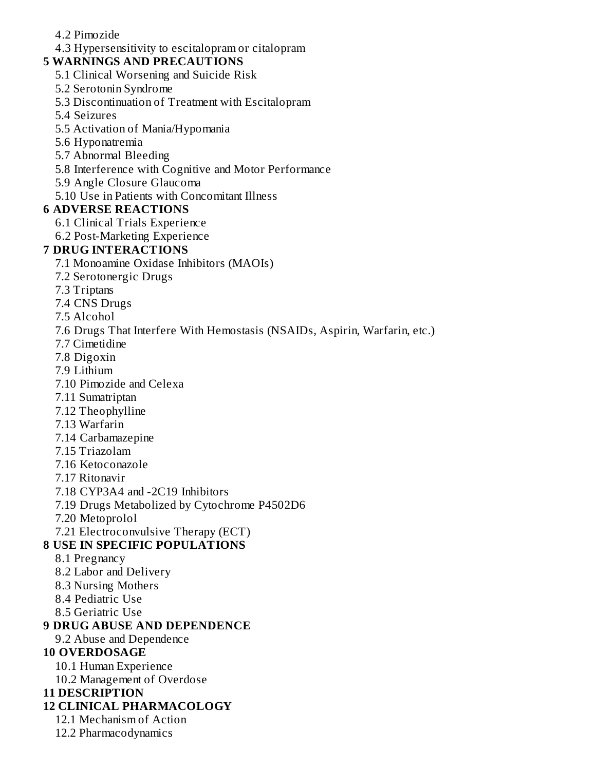- 4.2 Pimozide
- 4.3 Hypersensitivity to escitalopram or citalopram
- **5 WARNINGS AND PRECAUTIONS**
	- 5.1 Clinical Worsening and Suicide Risk
	- 5.2 Serotonin Syndrome
	- 5.3 Discontinuation of Treatment with Escitalopram
	- 5.4 Seizures
	- 5.5 Activation of Mania/Hypomania
	- 5.6 Hyponatremia
	- 5.7 Abnormal Bleeding
	- 5.8 Interference with Cognitive and Motor Performance
	- 5.9 Angle Closure Glaucoma
	- 5.10 Use in Patients with Concomitant Illness

## **6 ADVERSE REACTIONS**

- 6.1 Clinical Trials Experience
- 6.2 Post-Marketing Experience

## **7 DRUG INTERACTIONS**

- 7.1 Monoamine Oxidase Inhibitors (MAOIs)
- 7.2 Serotonergic Drugs
- 7.3 Triptans
- 7.4 CNS Drugs
- 7.5 Alcohol
- 7.6 Drugs That Interfere With Hemostasis (NSAIDs, Aspirin, Warfarin, etc.)
- 7.7 Cimetidine
- 7.8 Digoxin
- 7.9 Lithium
- 7.10 Pimozide and Celexa
- 7.11 Sumatriptan
- 7.12 Theophylline
- 7.13 Warfarin
- 7.14 Carbamazepine
- 7.15 Triazolam
- 7.16 Ketoconazole
- 7.17 Ritonavir
- 7.18 CYP3A4 and -2C19 Inhibitors
- 7.19 Drugs Metabolized by Cytochrome P4502D6
- 7.20 Metoprolol
- 7.21 Electroconvulsive Therapy (ECT)

# **8 USE IN SPECIFIC POPULATIONS**

- 8.1 Pregnancy
- 8.2 Labor and Delivery
- 8.3 Nursing Mothers
- 8.4 Pediatric Use
- 8.5 Geriatric Use

## **9 DRUG ABUSE AND DEPENDENCE**

9.2 Abuse and Dependence

# **10 OVERDOSAGE**

- 10.1 Human Experience
- 10.2 Management of Overdose

## **11 DESCRIPTION**

## **12 CLINICAL PHARMACOLOGY**

- 12.1 Mechanism of Action
- 12.2 Pharmacodynamics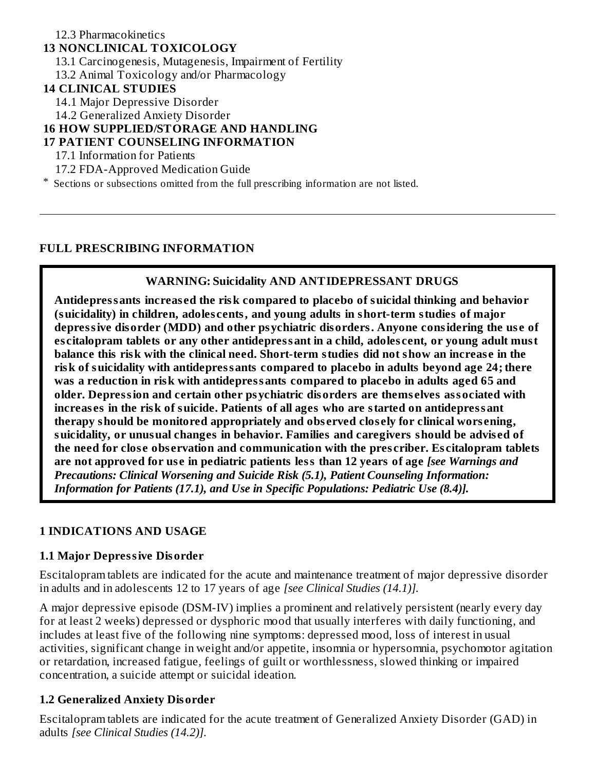12.3 Pharmacokinetics **13 NONCLINICAL TOXICOLOGY** 13.1 Carcinogenesis, Mutagenesis, Impairment of Fertility 13.2 Animal Toxicology and/or Pharmacology **14 CLINICAL STUDIES** 14.1 Major Depressive Disorder 14.2 Generalized Anxiety Disorder **16 HOW SUPPLIED/STORAGE AND HANDLING 17 PATIENT COUNSELING INFORMATION** 17.1 Information for Patients 17.2 FDA-Approved Medication Guide

\* Sections or subsections omitted from the full prescribing information are not listed.

#### **FULL PRESCRIBING INFORMATION**

#### **WARNING: Suicidality AND ANTIDEPRESSANT DRUGS**

**Antidepressants increas ed the risk compared to placebo of suicidal thinking and behavior (suicidality) in children, adoles cents, and young adults in short-term studies of major depressive disorder (MDD) and other psychiatric disorders. Anyone considering the us e of es citalopram tablets or any other antidepressant in a child, adoles cent, or young adult must balance this risk with the clinical need. Short-term studies did not show an increas e in the risk of suicidality with antidepressants compared to placebo in adults beyond age 24; there was a reduction in risk with antidepressants compared to placebo in adults aged 65 and older. Depression and certain other psychiatric disorders are thems elves associated with increas es in the risk of suicide. Patients of all ages who are started on antidepressant therapy should be monitored appropriately and obs erved clos ely for clinical wors ening, suicidality, or unusual changes in behavior. Families and caregivers should be advis ed of the need for clos e obs ervation and communication with the pres criber. Es citalopram tablets are not approved for us e in pediatric patients less than 12 years of age** *[see Warnings and Precautions: Clinical Worsening and Suicide Risk (5.1), Patient Counseling Information: Information for Patients (17.1), and Use in Specific Populations: Pediatric Use (8.4)].*

#### **1 INDICATIONS AND USAGE**

#### **1.1 Major Depressive Disorder**

Escitalopram tablets are indicated for the acute and maintenance treatment of major depressive disorder in adults and in adolescents 12 to 17 years of age *[see Clinical Studies (14.1)].*

A major depressive episode (DSM-IV) implies a prominent and relatively persistent (nearly every day for at least 2 weeks) depressed or dysphoric mood that usually interferes with daily functioning, and includes at least five of the following nine symptoms: depressed mood, loss of interest in usual activities, significant change in weight and/or appetite, insomnia or hypersomnia, psychomotor agitation or retardation, increased fatigue, feelings of guilt or worthlessness, slowed thinking or impaired concentration, a suicide attempt or suicidal ideation.

#### **1.2 Generalized Anxiety Disorder**

Escitalopram tablets are indicated for the acute treatment of Generalized Anxiety Disorder (GAD) in adults *[see Clinical Studies (14.2)].*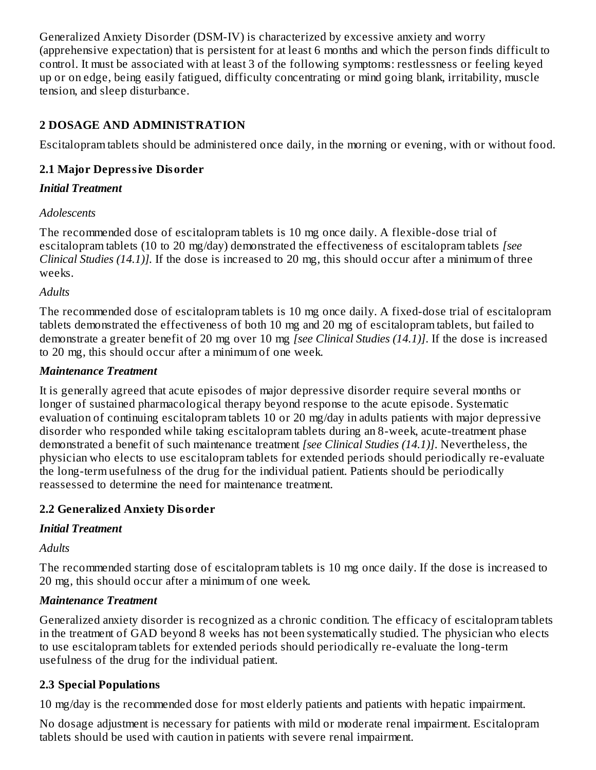Generalized Anxiety Disorder (DSM-IV) is characterized by excessive anxiety and worry (apprehensive expectation) that is persistent for at least 6 months and which the person finds difficult to control. It must be associated with at least 3 of the following symptoms: restlessness or feeling keyed up or on edge, being easily fatigued, difficulty concentrating or mind going blank, irritability, muscle tension, and sleep disturbance.

## **2 DOSAGE AND ADMINISTRATION**

Escitalopram tablets should be administered once daily, in the morning or evening, with or without food.

## **2.1 Major Depressive Disorder**

#### *Initial Treatment*

## *Adolescents*

The recommended dose of escitalopram tablets is 10 mg once daily. A flexible-dose trial of escitalopram tablets (10 to 20 mg/day) demonstrated the effectiveness of escitalopram tablets *[see Clinical Studies (14.1)].* If the dose is increased to 20 mg, this should occur after a minimum of three weeks.

*Adults*

The recommended dose of escitalopram tablets is 10 mg once daily. A fixed-dose trial of escitalopram tablets demonstrated the effectiveness of both 10 mg and 20 mg of escitalopram tablets, but failed to demonstrate a greater benefit of 20 mg over 10 mg *[see Clinical Studies (14.1)]*. If the dose is increased to 20 mg, this should occur after a minimum of one week.

## *Maintenance Treatment*

It is generally agreed that acute episodes of major depressive disorder require several months or longer of sustained pharmacological therapy beyond response to the acute episode. Systematic evaluation of continuing escitalopram tablets 10 or 20 mg/day in adults patients with major depressive disorder who responded while taking escitalopram tablets during an 8-week, acute-treatment phase demonstrated a benefit of such maintenance treatment *[see Clinical Studies (14.1)]*. Nevertheless, the physician who elects to use escitalopram tablets for extended periods should periodically re-evaluate the long-term usefulness of the drug for the individual patient. Patients should be periodically reassessed to determine the need for maintenance treatment.

# **2.2 Generalized Anxiety Disorder**

# *Initial Treatment*

## *Adults*

The recommended starting dose of escitalopram tablets is 10 mg once daily. If the dose is increased to 20 mg, this should occur after a minimum of one week.

## *Maintenance Treatment*

Generalized anxiety disorder is recognized as a chronic condition. The efficacy of escitalopram tablets in the treatment of GAD beyond 8 weeks has not been systematically studied. The physician who elects to use escitalopram tablets for extended periods should periodically re-evaluate the long-term usefulness of the drug for the individual patient.

# **2.3 Special Populations**

10 mg/day is the recommended dose for most elderly patients and patients with hepatic impairment.

No dosage adjustment is necessary for patients with mild or moderate renal impairment. Escitalopram tablets should be used with caution in patients with severe renal impairment.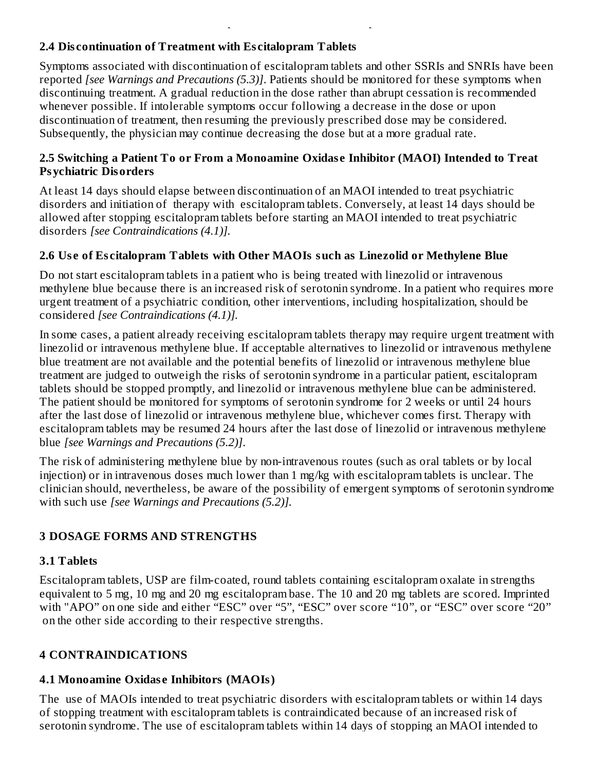#### **2.4 Dis continuation of Treatment with Es citalopram Tablets**

tablets should be used with caution in patients with severe renal impairment.

Symptoms associated with discontinuation of escitalopram tablets and other SSRIs and SNRIs have been reported *[see Warnings and Precautions (5.3)]*. Patients should be monitored for these symptoms when discontinuing treatment. A gradual reduction in the dose rather than abrupt cessation is recommended whenever possible. If intolerable symptoms occur following a decrease in the dose or upon discontinuation of treatment, then resuming the previously prescribed dose may be considered. Subsequently, the physician may continue decreasing the dose but at a more gradual rate.

#### **2.5 Switching a Patient To or From a Monoamine Oxidas e Inhibitor (MAOI) Intended to Treat Psychiatric Disorders**

At least 14 days should elapse between discontinuation of an MAOI intended to treat psychiatric disorders and initiation of therapy with escitalopram tablets. Conversely, at least 14 days should be allowed after stopping escitalopram tablets before starting an MAOI intended to treat psychiatric disorders *[see Contraindications (4.1)].*

## **2.6 Us e of Es citalopram Tablets with Other MAOIs such as Linezolid or Methylene Blue**

Do not start escitalopram tablets in a patient who is being treated with linezolid or intravenous methylene blue because there is an increased risk of serotonin syndrome. In a patient who requires more urgent treatment of a psychiatric condition, other interventions, including hospitalization, should be considered *[see Contraindications (4.1)].*

In some cases, a patient already receiving escitalopram tablets therapy may require urgent treatment with linezolid or intravenous methylene blue. If acceptable alternatives to linezolid or intravenous methylene blue treatment are not available and the potential benefits of linezolid or intravenous methylene blue treatment are judged to outweigh the risks of serotonin syndrome in a particular patient, escitalopram tablets should be stopped promptly, and linezolid or intravenous methylene blue can be administered. The patient should be monitored for symptoms of serotonin syndrome for 2 weeks or until 24 hours after the last dose of linezolid or intravenous methylene blue, whichever comes first. Therapy with escitalopram tablets may be resumed 24 hours after the last dose of linezolid or intravenous methylene blue *[see Warnings and Precautions (5.2)]*.

The risk of administering methylene blue by non-intravenous routes (such as oral tablets or by local injection) or in intravenous doses much lower than 1 mg/kg with escitalopram tablets is unclear. The clinician should, nevertheless, be aware of the possibility of emergent symptoms of serotonin syndrome with such use *[see Warnings and Precautions (5.2)].*

## **3 DOSAGE FORMS AND STRENGTHS**

## **3.1 Tablets**

Escitalopram tablets, USP are film-coated, round tablets containing escitalopram oxalate in strengths equivalent to 5 mg, 10 mg and 20 mg escitalopram base. The 10 and 20 mg tablets are scored. Imprinted with "APO" on one side and either "ESC" over "5", "ESC" over score "10", or "ESC" over score "20" on the other side according to their respective strengths.

## **4 CONTRAINDICATIONS**

#### **4.1 Monoamine Oxidas e Inhibitors (MAOIs)**

The use of MAOIs intended to treat psychiatric disorders with escitalopram tablets or within 14 days of stopping treatment with escitalopram tablets is contraindicated because of an increased risk of serotonin syndrome. The use of escitalopram tablets within 14 days of stopping an MAOI intended to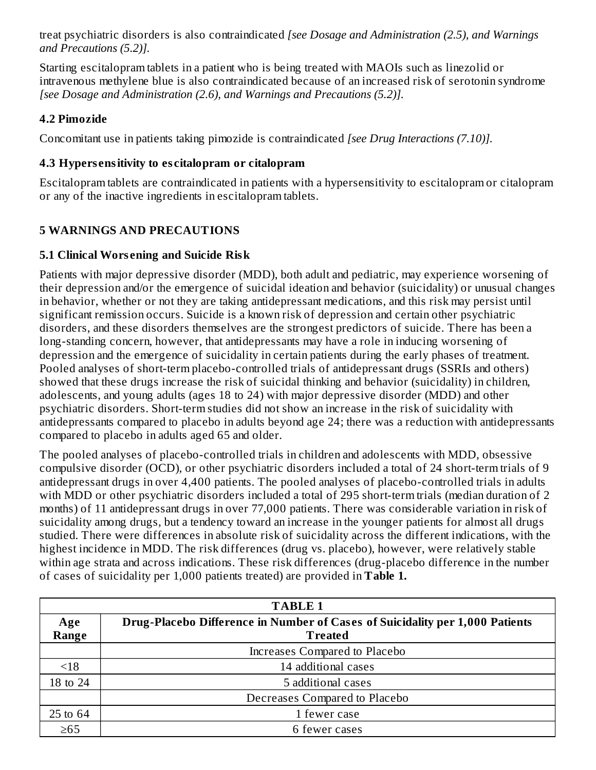treat psychiatric disorders is also contraindicated *[see Dosage and Administration (2.5), and Warnings and Precautions (5.2)].*

Starting escitalopram tablets in a patient who is being treated with MAOIs such as linezolid or intravenous methylene blue is also contraindicated because of an increased risk of serotonin syndrome *[see Dosage and Administration (2.6), and Warnings and Precautions (5.2)].*

#### **4.2 Pimozide**

Concomitant use in patients taking pimozide is contraindicated *[see Drug Interactions (7.10)].*

#### **4.3 Hypers ensitivity to es citalopram or citalopram**

Escitalopram tablets are contraindicated in patients with a hypersensitivity to escitalopram or citalopram or any of the inactive ingredients in escitalopram tablets.

## **5 WARNINGS AND PRECAUTIONS**

## **5.1 Clinical Wors ening and Suicide Risk**

Patients with major depressive disorder (MDD), both adult and pediatric, may experience worsening of their depression and/or the emergence of suicidal ideation and behavior (suicidality) or unusual changes in behavior, whether or not they are taking antidepressant medications, and this risk may persist until significant remission occurs. Suicide is a known risk of depression and certain other psychiatric disorders, and these disorders themselves are the strongest predictors of suicide. There has been a long-standing concern, however, that antidepressants may have a role in inducing worsening of depression and the emergence of suicidality in certain patients during the early phases of treatment. Pooled analyses of short-term placebo-controlled trials of antidepressant drugs (SSRIs and others) showed that these drugs increase the risk of suicidal thinking and behavior (suicidality) in children, adolescents, and young adults (ages 18 to 24) with major depressive disorder (MDD) and other psychiatric disorders. Short-term studies did not show an increase in the risk of suicidality with antidepressants compared to placebo in adults beyond age 24; there was a reduction with antidepressants compared to placebo in adults aged 65 and older.

The pooled analyses of placebo-controlled trials in children and adolescents with MDD, obsessive compulsive disorder (OCD), or other psychiatric disorders included a total of 24 short-term trials of 9 antidepressant drugs in over 4,400 patients. The pooled analyses of placebo-controlled trials in adults with MDD or other psychiatric disorders included a total of 295 short-term trials (median duration of 2 months) of 11 antidepressant drugs in over 77,000 patients. There was considerable variation in risk of suicidality among drugs, but a tendency toward an increase in the younger patients for almost all drugs studied. There were differences in absolute risk of suicidality across the different indications, with the highest incidence in MDD. The risk differences (drug vs. placebo), however, were relatively stable within age strata and across indications. These risk differences (drug-placebo difference in the number of cases of suicidality per 1,000 patients treated) are provided in **Table 1.**

|                                                                                                                | <b>TABLE 1</b>                       |  |  |  |
|----------------------------------------------------------------------------------------------------------------|--------------------------------------|--|--|--|
| Drug-Placebo Difference in Number of Cases of Suicidality per 1,000 Patients<br>Age<br>Range<br><b>Treated</b> |                                      |  |  |  |
|                                                                                                                | <b>Increases Compared to Placebo</b> |  |  |  |
| < 18                                                                                                           | 14 additional cases                  |  |  |  |
| 18 to 24                                                                                                       | 5 additional cases                   |  |  |  |
|                                                                                                                | Decreases Compared to Placebo        |  |  |  |
| 25 to 64                                                                                                       | 1 fewer case                         |  |  |  |
| $\geq 65$                                                                                                      | 6 fewer cases                        |  |  |  |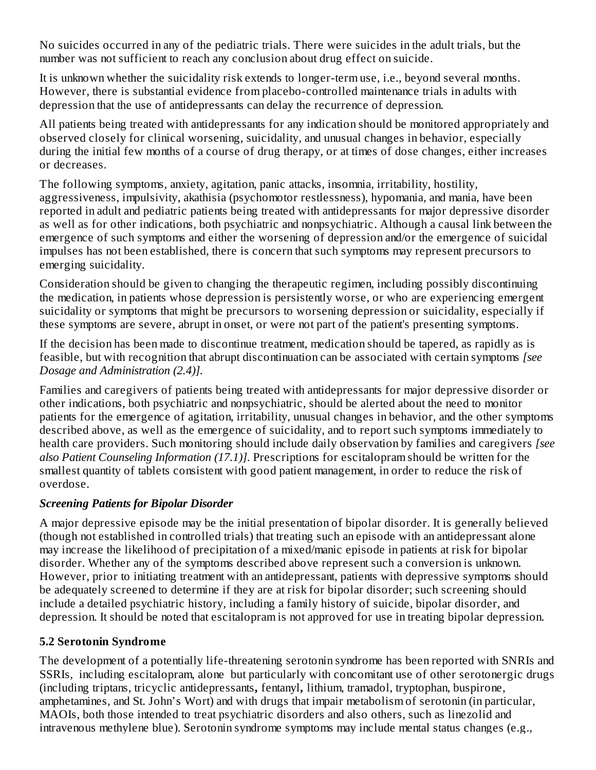No suicides occurred in any of the pediatric trials. There were suicides in the adult trials, but the number was not sufficient to reach any conclusion about drug effect on suicide.

It is unknown whether the suicidality risk extends to longer-term use, i.e., beyond several months. However, there is substantial evidence from placebo-controlled maintenance trials in adults with depression that the use of antidepressants can delay the recurrence of depression.

All patients being treated with antidepressants for any indication should be monitored appropriately and observed closely for clinical worsening, suicidality, and unusual changes in behavior, especially during the initial few months of a course of drug therapy, or at times of dose changes, either increases or decreases.

The following symptoms, anxiety, agitation, panic attacks, insomnia, irritability, hostility, aggressiveness, impulsivity, akathisia (psychomotor restlessness), hypomania, and mania, have been reported in adult and pediatric patients being treated with antidepressants for major depressive disorder as well as for other indications, both psychiatric and nonpsychiatric. Although a causal link between the emergence of such symptoms and either the worsening of depression and/or the emergence of suicidal impulses has not been established, there is concern that such symptoms may represent precursors to emerging suicidality.

Consideration should be given to changing the therapeutic regimen, including possibly discontinuing the medication, in patients whose depression is persistently worse, or who are experiencing emergent suicidality or symptoms that might be precursors to worsening depression or suicidality, especially if these symptoms are severe, abrupt in onset, or were not part of the patient's presenting symptoms.

If the decision has been made to discontinue treatment, medication should be tapered, as rapidly as is feasible, but with recognition that abrupt discontinuation can be associated with certain symptoms *[see Dosage and Administration (2.4)].*

Families and caregivers of patients being treated with antidepressants for major depressive disorder or other indications, both psychiatric and nonpsychiatric, should be alerted about the need to monitor patients for the emergence of agitation, irritability, unusual changes in behavior, and the other symptoms described above, as well as the emergence of suicidality, and to report such symptoms immediately to health care providers. Such monitoring should include daily observation by families and caregivers *[see also Patient Counseling Information (17.1)]*. Prescriptions for escitalopram should be written for the smallest quantity of tablets consistent with good patient management, in order to reduce the risk of overdose.

## *Screening Patients for Bipolar Disorder*

A major depressive episode may be the initial presentation of bipolar disorder. It is generally believed (though not established in controlled trials) that treating such an episode with an antidepressant alone may increase the likelihood of precipitation of a mixed/manic episode in patients at risk for bipolar disorder. Whether any of the symptoms described above represent such a conversion is unknown. However, prior to initiating treatment with an antidepressant, patients with depressive symptoms should be adequately screened to determine if they are at risk for bipolar disorder; such screening should include a detailed psychiatric history, including a family history of suicide, bipolar disorder, and depression. It should be noted that escitalopram is not approved for use in treating bipolar depression.

## **5.2 Serotonin Syndrome**

The development of a potentially life-threatening serotonin syndrome has been reported with SNRIs and SSRIs, including escitalopram, alone but particularly with concomitant use of other serotonergic drugs (including triptans, tricyclic antidepressants**,** fentanyl**,** lithium, tramadol, tryptophan, buspirone, amphetamines, and St. John's Wort) and with drugs that impair metabolism of serotonin (in particular, MAOIs, both those intended to treat psychiatric disorders and also others, such as linezolid and intravenous methylene blue). Serotonin syndrome symptoms may include mental status changes (e.g.,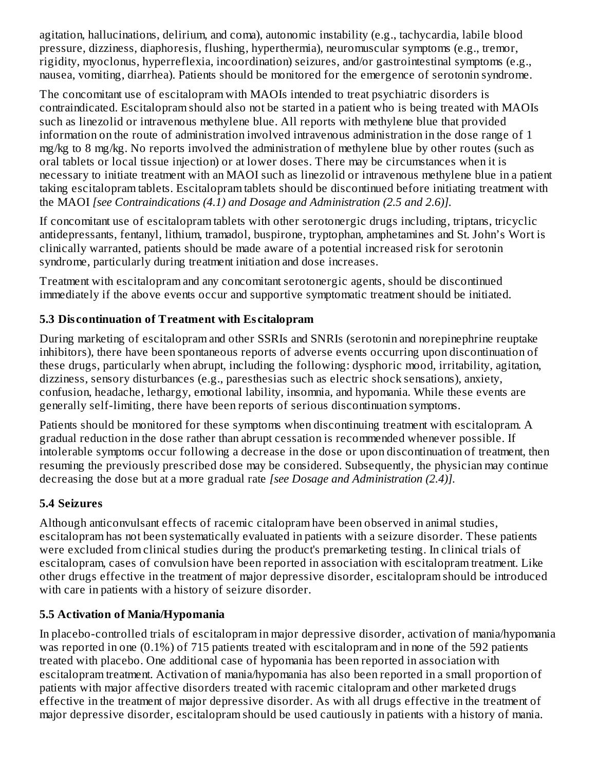agitation, hallucinations, delirium, and coma), autonomic instability (e.g., tachycardia, labile blood pressure, dizziness, diaphoresis, flushing, hyperthermia), neuromuscular symptoms (e.g., tremor, rigidity, myoclonus, hyperreflexia, incoordination) seizures, and/or gastrointestinal symptoms (e.g., nausea, vomiting, diarrhea). Patients should be monitored for the emergence of serotonin syndrome.

The concomitant use of escitalopram with MAOIs intended to treat psychiatric disorders is contraindicated. Escitalopram should also not be started in a patient who is being treated with MAOIs such as linezolid or intravenous methylene blue. All reports with methylene blue that provided information on the route of administration involved intravenous administration in the dose range of 1 mg/kg to 8 mg/kg. No reports involved the administration of methylene blue by other routes (such as oral tablets or local tissue injection) or at lower doses. There may be circumstances when it is necessary to initiate treatment with an MAOI such as linezolid or intravenous methylene blue in a patient taking escitalopram tablets. Escitalopram tablets should be discontinued before initiating treatment with the MAOI *[see Contraindications (4.1) and Dosage and Administration (2.5 and 2.6)].*

If concomitant use of escitalopram tablets with other serotonergic drugs including, triptans, tricyclic antidepressants, fentanyl, lithium, tramadol, buspirone, tryptophan, amphetamines and St. John's Wort is clinically warranted, patients should be made aware of a potential increased risk for serotonin syndrome, particularly during treatment initiation and dose increases.

Treatment with escitalopram and any concomitant serotonergic agents, should be discontinued immediately if the above events occur and supportive symptomatic treatment should be initiated.

## **5.3 Dis continuation of Treatment with Es citalopram**

During marketing of escitalopram and other SSRIs and SNRIs (serotonin and norepinephrine reuptake inhibitors), there have been spontaneous reports of adverse events occurring upon discontinuation of these drugs, particularly when abrupt, including the following: dysphoric mood, irritability, agitation, dizziness, sensory disturbances (e.g., paresthesias such as electric shock sensations), anxiety, confusion, headache, lethargy, emotional lability, insomnia, and hypomania. While these events are generally self-limiting, there have been reports of serious discontinuation symptoms.

Patients should be monitored for these symptoms when discontinuing treatment with escitalopram. A gradual reduction in the dose rather than abrupt cessation is recommended whenever possible. If intolerable symptoms occur following a decrease in the dose or upon discontinuation of treatment, then resuming the previously prescribed dose may be considered. Subsequently, the physician may continue decreasing the dose but at a more gradual rate *[see Dosage and Administration (2.4)].*

# **5.4 Seizures**

Although anticonvulsant effects of racemic citalopram have been observed in animal studies, escitalopram has not been systematically evaluated in patients with a seizure disorder. These patients were excluded from clinical studies during the product's premarketing testing. In clinical trials of escitalopram, cases of convulsion have been reported in association with escitalopram treatment. Like other drugs effective in the treatment of major depressive disorder, escitalopram should be introduced with care in patients with a history of seizure disorder.

# **5.5 Activation of Mania/Hypomania**

In placebo-controlled trials of escitalopram in major depressive disorder, activation of mania/hypomania was reported in one (0.1%) of 715 patients treated with escitalopram and in none of the 592 patients treated with placebo. One additional case of hypomania has been reported in association with escitalopram treatment. Activation of mania/hypomania has also been reported in a small proportion of patients with major affective disorders treated with racemic citalopram and other marketed drugs effective in the treatment of major depressive disorder. As with all drugs effective in the treatment of major depressive disorder, escitalopram should be used cautiously in patients with a history of mania.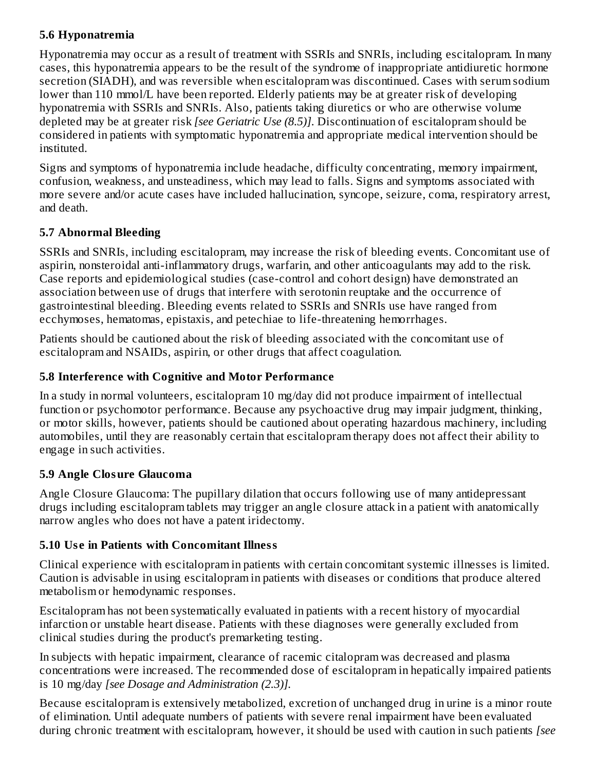## **5.6 Hyponatremia**

Hyponatremia may occur as a result of treatment with SSRIs and SNRIs, including escitalopram. In many cases, this hyponatremia appears to be the result of the syndrome of inappropriate antidiuretic hormone secretion (SIADH), and was reversible when escitalopram was discontinued. Cases with serum sodium lower than 110 mmol/L have been reported. Elderly patients may be at greater risk of developing hyponatremia with SSRIs and SNRIs. Also, patients taking diuretics or who are otherwise volume depleted may be at greater risk *[see Geriatric Use (8.5)]*. Discontinuation of escitalopram should be considered in patients with symptomatic hyponatremia and appropriate medical intervention should be instituted.

Signs and symptoms of hyponatremia include headache, difficulty concentrating, memory impairment, confusion, weakness, and unsteadiness, which may lead to falls. Signs and symptoms associated with more severe and/or acute cases have included hallucination, syncope, seizure, coma, respiratory arrest, and death.

## **5.7 Abnormal Bleeding**

SSRIs and SNRIs, including escitalopram, may increase the risk of bleeding events. Concomitant use of aspirin, nonsteroidal anti-inflammatory drugs, warfarin, and other anticoagulants may add to the risk. Case reports and epidemiological studies (case-control and cohort design) have demonstrated an association between use of drugs that interfere with serotonin reuptake and the occurrence of gastrointestinal bleeding. Bleeding events related to SSRIs and SNRIs use have ranged from ecchymoses, hematomas, epistaxis, and petechiae to life-threatening hemorrhages.

Patients should be cautioned about the risk of bleeding associated with the concomitant use of escitalopram and NSAIDs, aspirin, or other drugs that affect coagulation.

## **5.8 Interference with Cognitive and Motor Performance**

In a study in normal volunteers, escitalopram 10 mg/day did not produce impairment of intellectual function or psychomotor performance. Because any psychoactive drug may impair judgment, thinking, or motor skills, however, patients should be cautioned about operating hazardous machinery, including automobiles, until they are reasonably certain that escitalopram therapy does not affect their ability to engage in such activities.

## **5.9 Angle Closure Glaucoma**

Angle Closure Glaucoma: The pupillary dilation that occurs following use of many antidepressant drugs including escitalopram tablets may trigger an angle closure attack in a patient with anatomically narrow angles who does not have a patent iridectomy.

## **5.10 Us e in Patients with Concomitant Illness**

Clinical experience with escitalopram in patients with certain concomitant systemic illnesses is limited. Caution is advisable in using escitalopram in patients with diseases or conditions that produce altered metabolism or hemodynamic responses.

Escitalopram has not been systematically evaluated in patients with a recent history of myocardial infarction or unstable heart disease. Patients with these diagnoses were generally excluded from clinical studies during the product's premarketing testing.

In subjects with hepatic impairment, clearance of racemic citalopram was decreased and plasma concentrations were increased. The recommended dose of escitalopram in hepatically impaired patients is 10 mg/day *[see Dosage and Administration (2.3)].*

Because escitalopram is extensively metabolized, excretion of unchanged drug in urine is a minor route of elimination. Until adequate numbers of patients with severe renal impairment have been evaluated during chronic treatment with escitalopram, however, it should be used with caution in such patients *[see*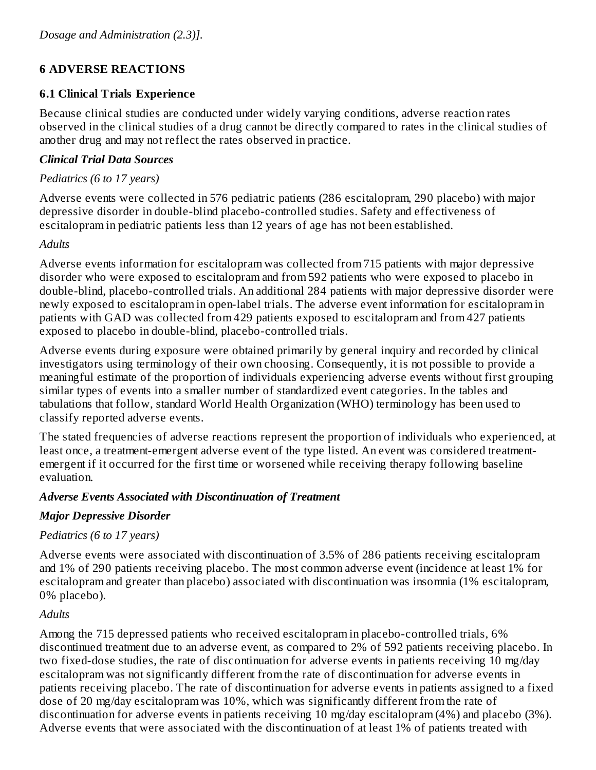## **6 ADVERSE REACTIONS**

#### **6.1 Clinical Trials Experience**

Because clinical studies are conducted under widely varying conditions, adverse reaction rates observed in the clinical studies of a drug cannot be directly compared to rates in the clinical studies of another drug and may not reflect the rates observed in practice.

#### *Clinical Trial Data Sources*

## *Pediatrics (6 to 17 years)*

Adverse events were collected in 576 pediatric patients (286 escitalopram, 290 placebo) with major depressive disorder in double-blind placebo-controlled studies. Safety and effectiveness of escitalopram in pediatric patients less than 12 years of age has not been established.

## *Adults*

Adverse events information for escitalopram was collected from 715 patients with major depressive disorder who were exposed to escitalopram and from 592 patients who were exposed to placebo in double-blind, placebo-controlled trials. An additional 284 patients with major depressive disorder were newly exposed to escitalopram in open-label trials. The adverse event information for escitalopram in patients with GAD was collected from 429 patients exposed to escitalopram and from 427 patients exposed to placebo in double-blind, placebo-controlled trials.

Adverse events during exposure were obtained primarily by general inquiry and recorded by clinical investigators using terminology of their own choosing. Consequently, it is not possible to provide a meaningful estimate of the proportion of individuals experiencing adverse events without first grouping similar types of events into a smaller number of standardized event categories. In the tables and tabulations that follow, standard World Health Organization (WHO) terminology has been used to classify reported adverse events.

The stated frequencies of adverse reactions represent the proportion of individuals who experienced, at least once, a treatment-emergent adverse event of the type listed. An event was considered treatmentemergent if it occurred for the first time or worsened while receiving therapy following baseline evaluation.

## *Adverse Events Associated with Discontinuation of Treatment*

## *Major Depressive Disorder*

## *Pediatrics (6 to 17 years)*

Adverse events were associated with discontinuation of 3.5% of 286 patients receiving escitalopram and 1% of 290 patients receiving placebo. The most common adverse event (incidence at least 1% for escitalopram and greater than placebo) associated with discontinuation was insomnia (1% escitalopram, 0% placebo).

## *Adults*

Among the 715 depressed patients who received escitalopram in placebo-controlled trials, 6% discontinued treatment due to an adverse event, as compared to 2% of 592 patients receiving placebo. In two fixed-dose studies, the rate of discontinuation for adverse events in patients receiving 10 mg/day escitalopram was not significantly different from the rate of discontinuation for adverse events in patients receiving placebo. The rate of discontinuation for adverse events in patients assigned to a fixed dose of 20 mg/day escitalopram was 10%, which was significantly different from the rate of discontinuation for adverse events in patients receiving 10 mg/day escitalopram (4%) and placebo (3%). Adverse events that were associated with the discontinuation of at least 1% of patients treated with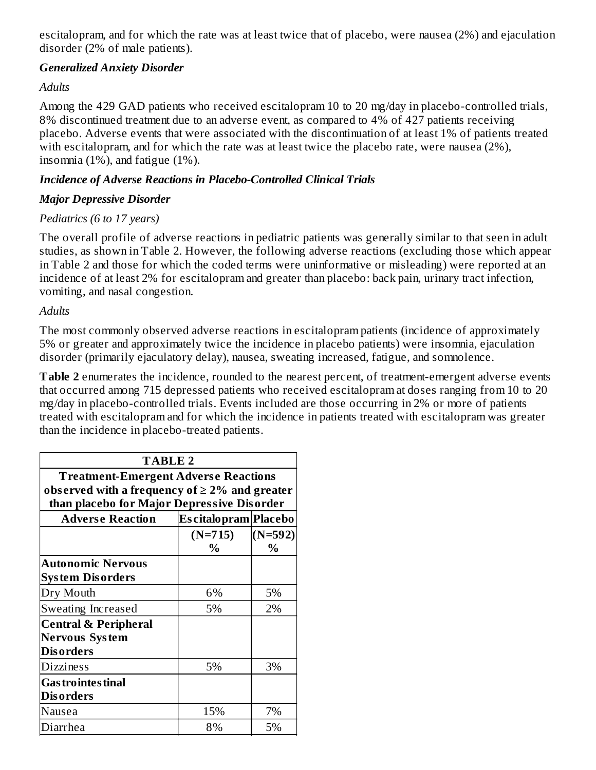escitalopram, and for which the rate was at least twice that of placebo, were nausea (2%) and ejaculation disorder (2% of male patients).

#### *Generalized Anxiety Disorder*

#### *Adults*

Among the 429 GAD patients who received escitalopram 10 to 20 mg/day in placebo-controlled trials, 8% discontinued treatment due to an adverse event, as compared to 4% of 427 patients receiving placebo. Adverse events that were associated with the discontinuation of at least 1% of patients treated with escitalopram, and for which the rate was at least twice the placebo rate, were nausea (2%), insomnia (1%), and fatigue (1%).

#### *Incidence of Adverse Reactions in Placebo-Controlled Clinical Trials*

#### *Major Depressive Disorder*

## *Pediatrics (6 to 17 years)*

The overall profile of adverse reactions in pediatric patients was generally similar to that seen in adult studies, as shown in Table 2. However, the following adverse reactions (excluding those which appear in Table 2 and those for which the coded terms were uninformative or misleading) were reported at an incidence of at least 2% for escitalopram and greater than placebo: back pain, urinary tract infection, vomiting, and nasal congestion.

#### *Adults*

The most commonly observed adverse reactions in escitalopram patients (incidence of approximately 5% or greater and approximately twice the incidence in placebo patients) were insomnia, ejaculation disorder (primarily ejaculatory delay), nausea, sweating increased, fatigue, and somnolence.

**Table 2** enumerates the incidence, rounded to the nearest percent, of treatment-emergent adverse events that occurred among 715 depressed patients who received escitalopram at doses ranging from 10 to 20 mg/day in placebo-controlled trials. Events included are those occurring in 2% or more of patients treated with escitalopram and for which the incidence in patients treated with escitalopram was greater than the incidence in placebo-treated patients.

| <b>TABLE 2</b>                                                                                                                                   |                        |           |  |  |
|--------------------------------------------------------------------------------------------------------------------------------------------------|------------------------|-----------|--|--|
| <b>Treatment-Emergent Adverse Reactions</b><br>observed with a frequency of $\geq 2\%$ and greater<br>than placebo for Major Depressive Disorder |                        |           |  |  |
| <b>Adverse Reaction</b>                                                                                                                          | Es citalo pram Placebo |           |  |  |
|                                                                                                                                                  | $(N=715)$              | $(N=592)$ |  |  |
|                                                                                                                                                  | $\%$                   | $\%$      |  |  |
| <b>Autonomic Nervous</b>                                                                                                                         |                        |           |  |  |
| <b>System Disorders</b>                                                                                                                          |                        |           |  |  |
| Dry Mouth                                                                                                                                        | 6%                     | 5%        |  |  |
| Sweating Increased                                                                                                                               | 5%                     | 2%        |  |  |
| <b>Central &amp; Peripheral</b>                                                                                                                  |                        |           |  |  |
| <b>Nervous System</b>                                                                                                                            |                        |           |  |  |
| <b>Disorders</b>                                                                                                                                 |                        |           |  |  |
| <b>Dizziness</b>                                                                                                                                 | 5%                     | 3%        |  |  |
| <b>Gas trointes tinal</b>                                                                                                                        |                        |           |  |  |
| <b>Disorders</b>                                                                                                                                 |                        |           |  |  |
| Nausea                                                                                                                                           | 15%                    | 7%        |  |  |
| Diarrhea                                                                                                                                         | 8%                     | 5%        |  |  |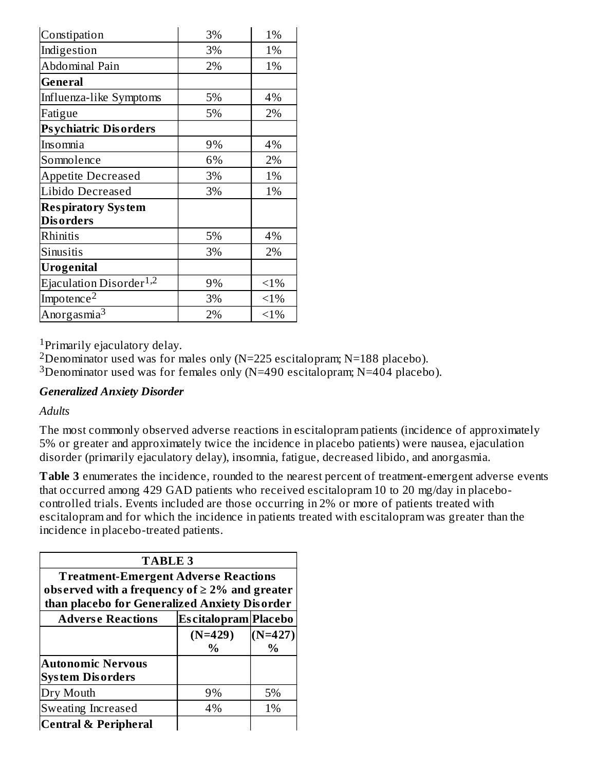| Constipation                                  | 3% | 1%      |
|-----------------------------------------------|----|---------|
| Indigestion                                   | 3% | 1%      |
| Abdominal Pain                                | 2% | 1%      |
| <b>General</b>                                |    |         |
| Influenza-like Symptoms                       | 5% | 4%      |
| Fatigue                                       | 5% | 2%      |
| <b>Psychiatric Disorders</b>                  |    |         |
| Insomnia                                      | 9% | 4%      |
| Somnolence                                    | 6% | 2%      |
| <b>Appetite Decreased</b>                     | 3% | 1%      |
| Libido Decreased                              | 3% | 1%      |
| <b>Respiratory System</b><br><b>Disorders</b> |    |         |
| Rhinitis                                      | 5% | 4%      |
| <b>Sinusitis</b>                              | 3% | 2%      |
| Urogenital                                    |    |         |
| Ejaculation Disorder <sup>1,2</sup>           | 9% | <1%     |
| Impotence <sup>2</sup>                        | 3% | <1%     |
| Anorgasmia <sup>3</sup>                       | 2% | $< 1\%$ |

<sup>1</sup> Primarily ejaculatory delay.

<sup>2</sup>Denominator used was for males only (N=225 escitalopram; N=188 placebo). <sup>3</sup>Denominator used was for females only (N=490 escitalopram; N=404 placebo).

#### *Generalized Anxiety Disorder*

#### *Adults*

The most commonly observed adverse reactions in escitalopram patients (incidence of approximately 5% or greater and approximately twice the incidence in placebo patients) were nausea, ejaculation disorder (primarily ejaculatory delay), insomnia, fatigue, decreased libido, and anorgasmia.

**Table 3** enumerates the incidence, rounded to the nearest percent of treatment-emergent adverse events that occurred among 429 GAD patients who received escitalopram 10 to 20 mg/day in placebocontrolled trials. Events included are those occurring in 2% or more of patients treated with escitalopram and for which the incidence in patients treated with escitalopram was greater than the incidence in placebo-treated patients.

| <b>TABLE 3</b>                                      |                                             |               |  |  |
|-----------------------------------------------------|---------------------------------------------|---------------|--|--|
|                                                     | <b>Treatment-Emergent Adverse Reactions</b> |               |  |  |
| observed with a frequency of $\geq 2\%$ and greater |                                             |               |  |  |
| than placebo for Generalized Anxiety Disorder       |                                             |               |  |  |
| Es citalo pram Placebo<br><b>Adverse Reactions</b>  |                                             |               |  |  |
|                                                     | $(N=429)$                                   | $(N=427)$     |  |  |
|                                                     | $\frac{0}{0}$                               | $\frac{0}{0}$ |  |  |
| <b>Autonomic Nervous</b>                            |                                             |               |  |  |
| <b>System Disorders</b>                             |                                             |               |  |  |
| Dry Mouth                                           | 9%                                          | 5%            |  |  |
| Sweating Increased                                  | 4%                                          | $1\%$         |  |  |
| Central & Peripheral                                |                                             |               |  |  |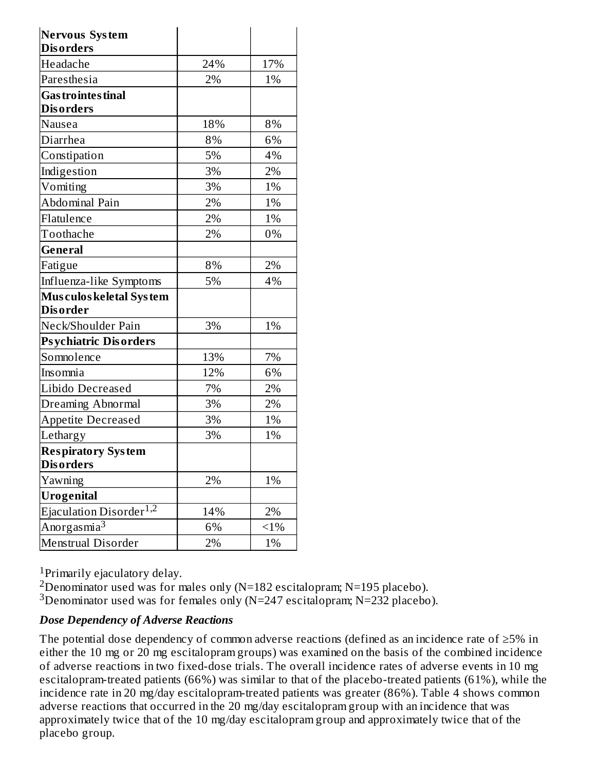| 24% | 17%    |
|-----|--------|
| 2%  | 1%     |
|     |        |
| 18% | 8%     |
| 8%  | 6%     |
| 5%  | 4%     |
| 3%  | 2%     |
| 3%  | 1%     |
| 2%  | 1%     |
| 2%  | 1%     |
| 2%  | 0%     |
|     |        |
| 8%  | 2%     |
| 5%  | 4%     |
|     |        |
| 3%  | 1%     |
|     |        |
| 13% | 7%     |
| 12% | 6%     |
| 7%  | 2%     |
| 3%  | 2%     |
| 3%  | 1%     |
| 3%  | 1%     |
|     |        |
| 2%  | 1%     |
|     |        |
| 14% | 2%     |
| 6%  | $<1\%$ |
| 2%  | 1%     |
|     |        |

<sup>1</sup>Primarily ejaculatory delay.

<sup>2</sup>Denominator used was for males only (N=182 escitalopram; N=195 placebo). <sup>3</sup> Denominator used was for females only (N=247 escitalopram; N=232 placebo).

## *Dose Dependency of Adverse Reactions*

The potential dose dependency of common adverse reactions (defined as an incidence rate of ≥5% in either the 10 mg or 20 mg escitalopram groups) was examined on the basis of the combined incidence of adverse reactions in two fixed-dose trials. The overall incidence rates of adverse events in 10 mg escitalopram-treated patients (66%) was similar to that of the placebo-treated patients (61%), while the incidence rate in 20 mg/day escitalopram-treated patients was greater (86%). Table 4 shows common adverse reactions that occurred in the 20 mg/day escitalopram group with an incidence that was approximately twice that of the 10 mg/day escitalopram group and approximately twice that of the placebo group.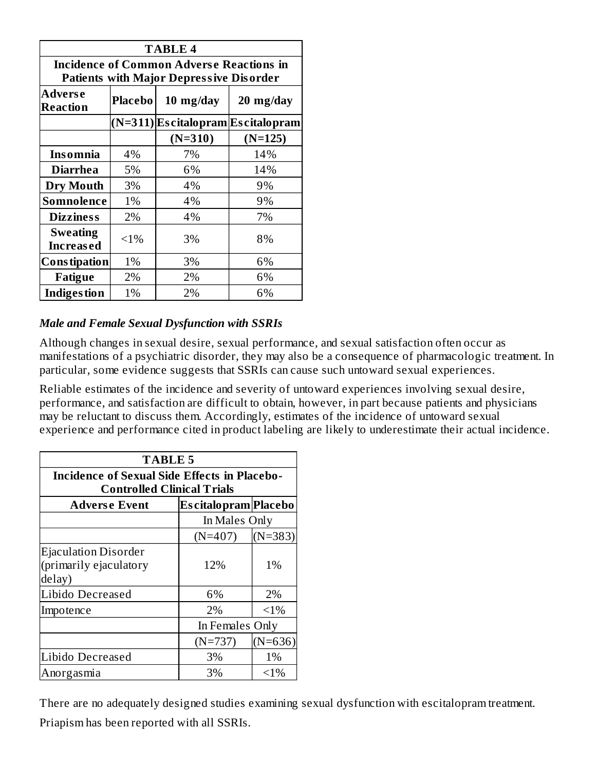| <b>TABLE 4</b>                                                                                    |                                                    |                                         |           |  |  |
|---------------------------------------------------------------------------------------------------|----------------------------------------------------|-----------------------------------------|-----------|--|--|
| <b>Incidence of Common Adverse Reactions in</b><br><b>Patients with Major Depressive Disorder</b> |                                                    |                                         |           |  |  |
| <b>Adverse</b><br>Reaction                                                                        | <b>Placebo</b><br>$10 \; mg/day$<br>$20 \; mg/day$ |                                         |           |  |  |
|                                                                                                   |                                                    | $(N=311)$ Es citalo pram Es citalo pram |           |  |  |
|                                                                                                   |                                                    | $(N=310)$                               | $(N=125)$ |  |  |
| <b>Insomnia</b>                                                                                   | 4%                                                 | 7%                                      | 14%       |  |  |
| Diarrhea                                                                                          | 5%                                                 | 6%                                      | 14%       |  |  |
| <b>Dry Mouth</b>                                                                                  | 3%                                                 | 4%                                      | 9%        |  |  |
| Somnolence                                                                                        | 1%                                                 | 4%                                      | 9%        |  |  |
| <b>Dizziness</b>                                                                                  | 2%                                                 | 4%                                      | 7%        |  |  |
| <b>Sweating</b><br><b>Increased</b>                                                               | $<1\%$                                             | 3%                                      | 8%        |  |  |
| <b>Constipation</b>                                                                               | 1%                                                 | 3%                                      | 6%        |  |  |
| <b>Fatigue</b>                                                                                    | 2%                                                 | 2%                                      | 6%        |  |  |
| <b>Indigestion</b>                                                                                | 1%                                                 | 2%                                      | 6%        |  |  |

## *Male and Female Sexual Dysfunction with SSRIs*

Although changes in sexual desire, sexual performance, and sexual satisfaction often occur as manifestations of a psychiatric disorder, they may also be a consequence of pharmacologic treatment. In particular, some evidence suggests that SSRIs can cause such untoward sexual experiences.

Reliable estimates of the incidence and severity of untoward experiences involving sexual desire, performance, and satisfaction are difficult to obtain, however, in part because patients and physicians may be reluctant to discuss them. Accordingly, estimates of the incidence of untoward sexual experience and performance cited in product labeling are likely to underestimate their actual incidence.

| <b>TABLE 5</b>                                                                           |                        |           |  |
|------------------------------------------------------------------------------------------|------------------------|-----------|--|
| <b>Incidence of Sexual Side Effects in Placebo-</b><br><b>Controlled Clinical Trials</b> |                        |           |  |
| <b>Adverse Event</b>                                                                     | Es citalo pram Placebo |           |  |
| In Males Only                                                                            |                        |           |  |
|                                                                                          | $(N=407)$              | $(N=383)$ |  |
| <b>Ejaculation Disorder</b><br>(primarily ejaculatory<br>delay)                          | 12%                    | 1%        |  |
| Libido Decreased                                                                         | 6%                     | 2%        |  |
| Impotence                                                                                | 2%                     | $< 1\%$   |  |
|                                                                                          | In Females Only        |           |  |
|                                                                                          | $(N=737)$              | $(N=636)$ |  |
| Libido Decreased                                                                         | 3%                     | 1%        |  |
| Anorgasmia                                                                               | 3%                     | ${<}1\%$  |  |

There are no adequately designed studies examining sexual dysfunction with escitalopram treatment. Priapism has been reported with all SSRIs.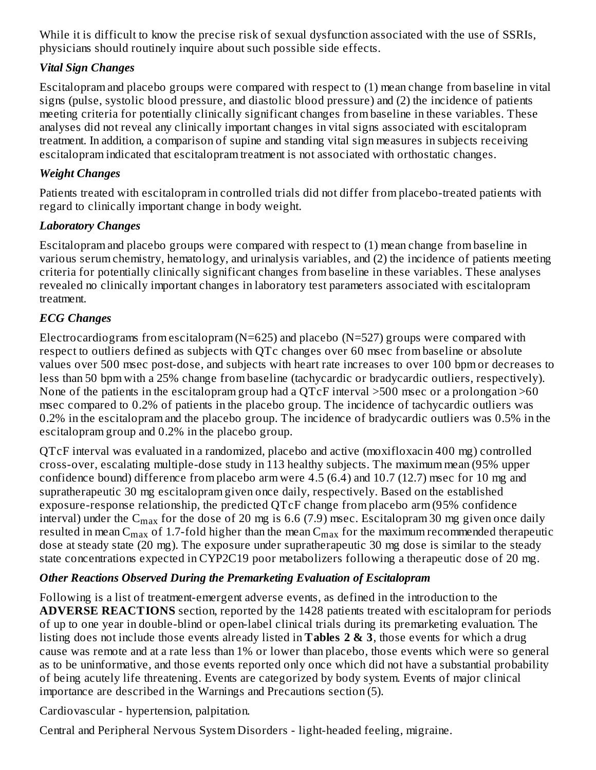While it is difficult to know the precise risk of sexual dysfunction associated with the use of SSRIs, physicians should routinely inquire about such possible side effects.

# *Vital Sign Changes*

Escitalopram and placebo groups were compared with respect to (1) mean change from baseline in vital signs (pulse, systolic blood pressure, and diastolic blood pressure) and (2) the incidence of patients meeting criteria for potentially clinically significant changes from baseline in these variables. These analyses did not reveal any clinically important changes in vital signs associated with escitalopram treatment. In addition, a comparison of supine and standing vital sign measures in subjects receiving escitalopram indicated that escitalopram treatment is not associated with orthostatic changes.

## *Weight Changes*

Patients treated with escitalopram in controlled trials did not differ from placebo-treated patients with regard to clinically important change in body weight.

## *Laboratory Changes*

Escitalopram and placebo groups were compared with respect to (1) mean change from baseline in various serum chemistry, hematology, and urinalysis variables, and (2) the incidence of patients meeting criteria for potentially clinically significant changes from baseline in these variables. These analyses revealed no clinically important changes in laboratory test parameters associated with escitalopram treatment.

## *ECG Changes*

Electrocardiograms from escitalopram  $(N=625)$  and placebo  $(N=527)$  groups were compared with respect to outliers defined as subjects with QTc changes over 60 msec from baseline or absolute values over 500 msec post-dose, and subjects with heart rate increases to over 100 bpm or decreases to less than 50 bpm with a 25% change from baseline (tachycardic or bradycardic outliers, respectively). None of the patients in the escitalopram group had a QTcF interval  $>500$  msec or a prolongation  $>60$ msec compared to 0.2% of patients in the placebo group. The incidence of tachycardic outliers was 0.2% in the escitalopram and the placebo group. The incidence of bradycardic outliers was 0.5% in the escitalopram group and 0.2% in the placebo group.

QTcF interval was evaluated in a randomized, placebo and active (moxifloxacin 400 mg) controlled cross-over, escalating multiple-dose study in 113 healthy subjects. The maximum mean (95% upper confidence bound) difference from placebo arm were 4.5 (6.4) and 10.7 (12.7) msec for 10 mg and supratherapeutic 30 mg escitalopram given once daily, respectively. Based on the established exposure-response relationship, the predicted QTcF change from placebo arm (95% confidence interval) under the C $_{\rm max}$  for the dose of 20 mg is 6.6 (7.9) msec. Escitalopram 30 mg given once daily resulted in mean C<sub>max</sub> of 1.7-fold higher than the mean C<sub>max</sub> for the maximum recommended therapeutic dose at steady state (20 mg). The exposure under supratherapeutic 30 mg dose is similar to the steady state concentrations expected in CYP2C19 poor metabolizers following a therapeutic dose of 20 mg.

# *Other Reactions Observed During the Premarketing Evaluation of Escitalopram*

Following is a list of treatment-emergent adverse events, as defined in the introduction to the **ADVERSE REACTIONS** section, reported by the 1428 patients treated with escitalopram for periods of up to one year in double-blind or open-label clinical trials during its premarketing evaluation. The listing does not include those events already listed in **Tables 2 & 3**, those events for which a drug cause was remote and at a rate less than 1% or lower than placebo, those events which were so general as to be uninformative, and those events reported only once which did not have a substantial probability of being acutely life threatening. Events are categorized by body system. Events of major clinical importance are described in the Warnings and Precautions section (5).

Cardiovascular - hypertension, palpitation.

Central and Peripheral Nervous System Disorders - light-headed feeling, migraine.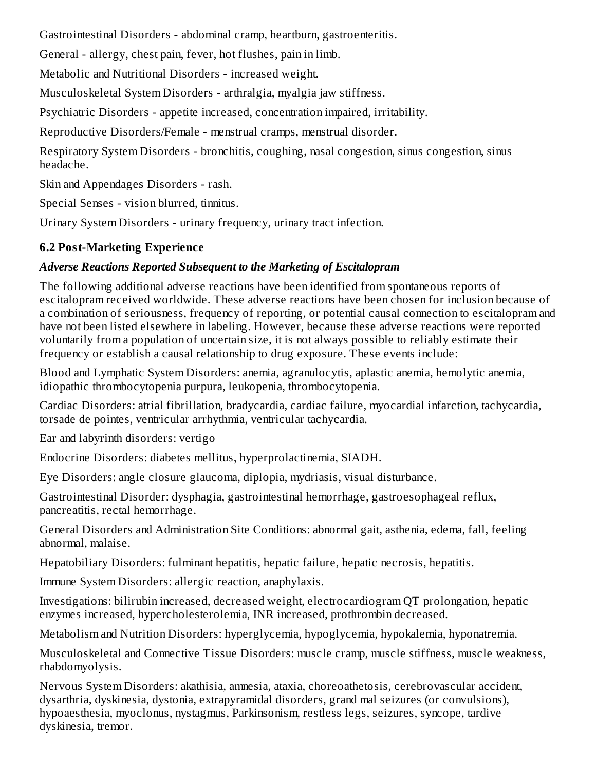Gastrointestinal Disorders - abdominal cramp, heartburn, gastroenteritis.

General - allergy, chest pain, fever, hot flushes, pain in limb.

Metabolic and Nutritional Disorders - increased weight.

Musculoskeletal System Disorders - arthralgia, myalgia jaw stiffness.

Psychiatric Disorders - appetite increased, concentration impaired, irritability.

Reproductive Disorders/Female - menstrual cramps, menstrual disorder.

Respiratory System Disorders - bronchitis, coughing, nasal congestion, sinus congestion, sinus headache.

Skin and Appendages Disorders - rash.

Special Senses - vision blurred, tinnitus.

Urinary System Disorders - urinary frequency, urinary tract infection.

# **6.2 Post-Marketing Experience**

# *Adverse Reactions Reported Subsequent to the Marketing of Escitalopram*

The following additional adverse reactions have been identified from spontaneous reports of escitalopram received worldwide. These adverse reactions have been chosen for inclusion because of a combination of seriousness, frequency of reporting, or potential causal connection to escitalopram and have not been listed elsewhere in labeling. However, because these adverse reactions were reported voluntarily from a population of uncertain size, it is not always possible to reliably estimate their frequency or establish a causal relationship to drug exposure. These events include:

Blood and Lymphatic System Disorders: anemia, agranulocytis, aplastic anemia, hemolytic anemia, idiopathic thrombocytopenia purpura, leukopenia, thrombocytopenia.

Cardiac Disorders: atrial fibrillation, bradycardia, cardiac failure, myocardial infarction, tachycardia, torsade de pointes, ventricular arrhythmia, ventricular tachycardia.

Ear and labyrinth disorders: vertigo

Endocrine Disorders: diabetes mellitus, hyperprolactinemia, SIADH.

Eye Disorders: angle closure glaucoma, diplopia, mydriasis, visual disturbance.

Gastrointestinal Disorder: dysphagia, gastrointestinal hemorrhage, gastroesophageal reflux, pancreatitis, rectal hemorrhage.

General Disorders and Administration Site Conditions: abnormal gait, asthenia, edema, fall, feeling abnormal, malaise.

Hepatobiliary Disorders: fulminant hepatitis, hepatic failure, hepatic necrosis, hepatitis.

Immune System Disorders: allergic reaction, anaphylaxis.

Investigations: bilirubin increased, decreased weight, electrocardiogram QT prolongation, hepatic enzymes increased, hypercholesterolemia, INR increased, prothrombin decreased.

Metabolism and Nutrition Disorders: hyperglycemia, hypoglycemia, hypokalemia, hyponatremia.

Musculoskeletal and Connective Tissue Disorders: muscle cramp, muscle stiffness, muscle weakness, rhabdomyolysis.

Nervous System Disorders: akathisia, amnesia, ataxia, choreoathetosis, cerebrovascular accident, dysarthria, dyskinesia, dystonia, extrapyramidal disorders, grand mal seizures (or convulsions), hypoaesthesia, myoclonus, nystagmus, Parkinsonism, restless legs, seizures, syncope, tardive dyskinesia, tremor.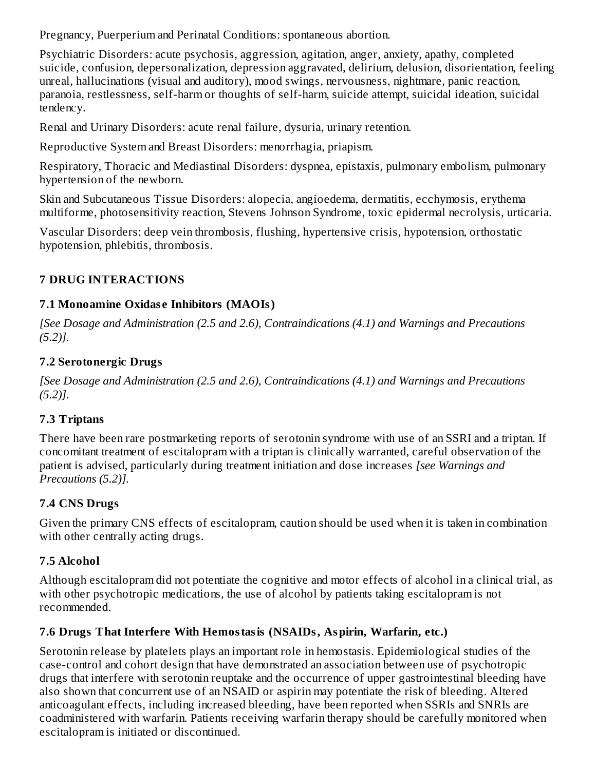Pregnancy, Puerperium and Perinatal Conditions: spontaneous abortion.

Psychiatric Disorders: acute psychosis, aggression, agitation, anger, anxiety, apathy, completed suicide, confusion, depersonalization, depression aggravated, delirium, delusion, disorientation, feeling unreal, hallucinations (visual and auditory), mood swings, nervousness, nightmare, panic reaction, paranoia, restlessness, self-harm or thoughts of self-harm, suicide attempt, suicidal ideation, suicidal tendency.

Renal and Urinary Disorders: acute renal failure, dysuria, urinary retention.

Reproductive System and Breast Disorders: menorrhagia, priapism.

Respiratory, Thoracic and Mediastinal Disorders: dyspnea, epistaxis, pulmonary embolism, pulmonary hypertension of the newborn.

Skin and Subcutaneous Tissue Disorders: alopecia, angioedema, dermatitis, ecchymosis, erythema multiforme, photosensitivity reaction, Stevens Johnson Syndrome, toxic epidermal necrolysis, urticaria.

Vascular Disorders: deep vein thrombosis, flushing, hypertensive crisis, hypotension, orthostatic hypotension, phlebitis, thrombosis.

## **7 DRUG INTERACTIONS**

## **7.1 Monoamine Oxidas e Inhibitors (MAOIs)**

*[See Dosage and Administration (2.5 and 2.6), Contraindications (4.1) and Warnings and Precautions (5.2)].*

## **7.2 Serotonergic Drugs**

*[See Dosage and Administration (2.5 and 2.6), Contraindications (4.1) and Warnings and Precautions (5.2)].*

## **7.3 Triptans**

There have been rare postmarketing reports of serotonin syndrome with use of an SSRI and a triptan. If concomitant treatment of escitalopram with a triptan is clinically warranted, careful observation of the patient is advised, particularly during treatment initiation and dose increases *[see Warnings and Precautions (5.2)].*

## **7.4 CNS Drugs**

Given the primary CNS effects of escitalopram, caution should be used when it is taken in combination with other centrally acting drugs.

# **7.5 Alcohol**

Although escitalopram did not potentiate the cognitive and motor effects of alcohol in a clinical trial, as with other psychotropic medications, the use of alcohol by patients taking escitalopram is not recommended.

## **7.6 Drugs That Interfere With Hemostasis (NSAIDs, Aspirin, Warfarin, etc.)**

Serotonin release by platelets plays an important role in hemostasis. Epidemiological studies of the case-control and cohort design that have demonstrated an association between use of psychotropic drugs that interfere with serotonin reuptake and the occurrence of upper gastrointestinal bleeding have also shown that concurrent use of an NSAID or aspirin may potentiate the risk of bleeding. Altered anticoagulant effects, including increased bleeding, have been reported when SSRIs and SNRIs are coadministered with warfarin. Patients receiving warfarin therapy should be carefully monitored when escitalopram is initiated or discontinued.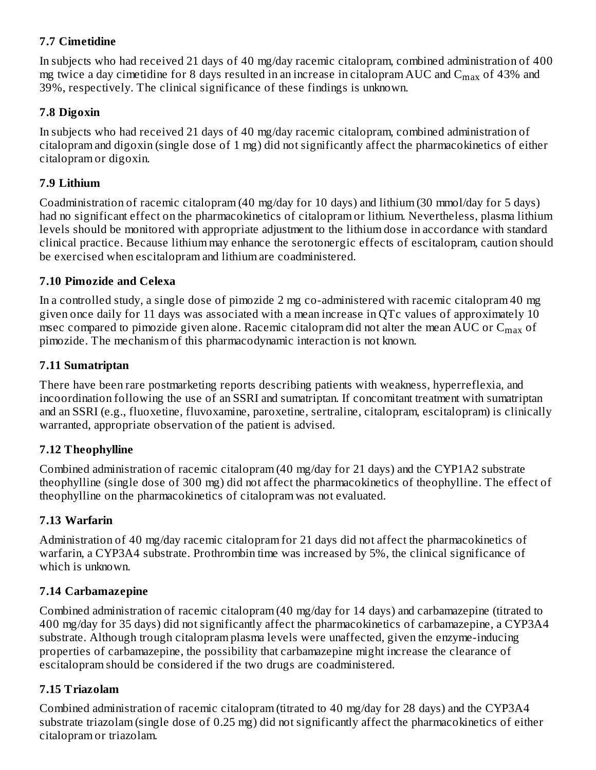#### **7.7 Cimetidine**

In subjects who had received 21 days of 40 mg/day racemic citalopram, combined administration of 400 mg twice a day cimetidine for 8 days resulted in an increase in citalopram AUC and  $\rm C_{max}$  of 43% and 39%, respectively. The clinical significance of these findings is unknown.

#### **7.8 Digoxin**

In subjects who had received 21 days of 40 mg/day racemic citalopram, combined administration of citalopram and digoxin (single dose of 1 mg) did not significantly affect the pharmacokinetics of either citalopram or digoxin.

#### **7.9 Lithium**

Coadministration of racemic citalopram (40 mg/day for 10 days) and lithium (30 mmol/day for 5 days) had no significant effect on the pharmacokinetics of citalopram or lithium. Nevertheless, plasma lithium levels should be monitored with appropriate adjustment to the lithium dose in accordance with standard clinical practice. Because lithium may enhance the serotonergic effects of escitalopram, caution should be exercised when escitalopram and lithium are coadministered.

#### **7.10 Pimozide and Celexa**

In a controlled study, a single dose of pimozide 2 mg co-administered with racemic citalopram 40 mg given once daily for 11 days was associated with a mean increase in QTc values of approximately 10 msec compared to pimozide given alone. Racemic citalopram did not alter the mean AUC or  $\mathsf{C}_{\max}$  of pimozide. The mechanism of this pharmacodynamic interaction is not known.

#### **7.11 Sumatriptan**

There have been rare postmarketing reports describing patients with weakness, hyperreflexia, and incoordination following the use of an SSRI and sumatriptan. If concomitant treatment with sumatriptan and an SSRI (e.g., fluoxetine, fluvoxamine, paroxetine, sertraline, citalopram, escitalopram) is clinically warranted, appropriate observation of the patient is advised.

## **7.12 Theophylline**

Combined administration of racemic citalopram (40 mg/day for 21 days) and the CYP1A2 substrate theophylline (single dose of 300 mg) did not affect the pharmacokinetics of theophylline. The effect of theophylline on the pharmacokinetics of citalopram was not evaluated.

## **7.13 Warfarin**

Administration of 40 mg/day racemic citalopram for 21 days did not affect the pharmacokinetics of warfarin, a CYP3A4 substrate. Prothrombin time was increased by 5%, the clinical significance of which is unknown.

#### **7.14 Carbamazepine**

Combined administration of racemic citalopram (40 mg/day for 14 days) and carbamazepine (titrated to 400 mg/day for 35 days) did not significantly affect the pharmacokinetics of carbamazepine, a CYP3A4 substrate. Although trough citalopram plasma levels were unaffected, given the enzyme-inducing properties of carbamazepine, the possibility that carbamazepine might increase the clearance of escitalopram should be considered if the two drugs are coadministered.

## **7.15 Triazolam**

Combined administration of racemic citalopram (titrated to 40 mg/day for 28 days) and the CYP3A4 substrate triazolam (single dose of 0.25 mg) did not significantly affect the pharmacokinetics of either citalopram or triazolam.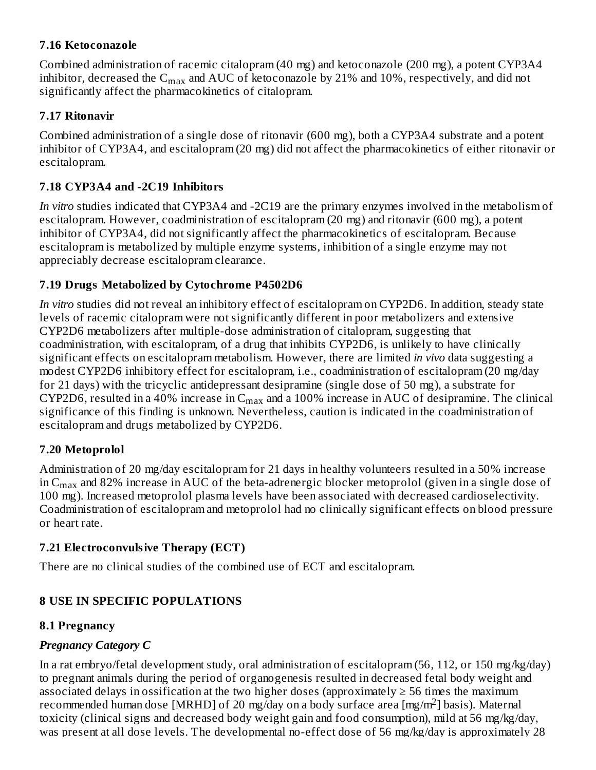#### **7.16 Ketoconazole**

Combined administration of racemic citalopram (40 mg) and ketoconazole (200 mg), a potent CYP3A4 inhibitor, decreased the  $\mathsf{C}_{\max}$  and  $\mathrm{AUC}$  of ketoconazole by 21% and 10%, respectively, and did not significantly affect the pharmacokinetics of citalopram.

## **7.17 Ritonavir**

Combined administration of a single dose of ritonavir (600 mg), both a CYP3A4 substrate and a potent inhibitor of CYP3A4, and escitalopram (20 mg) did not affect the pharmacokinetics of either ritonavir or escitalopram.

# **7.18 CYP3A4 and -2C19 Inhibitors**

*In vitro* studies indicated that CYP3A4 and -2C19 are the primary enzymes involved in the metabolism of escitalopram. However, coadministration of escitalopram (20 mg) and ritonavir (600 mg), a potent inhibitor of CYP3A4, did not significantly affect the pharmacokinetics of escitalopram. Because escitalopram is metabolized by multiple enzyme systems, inhibition of a single enzyme may not appreciably decrease escitalopram clearance.

## **7.19 Drugs Metabolized by Cytochrome P4502D6**

*In vitro* studies did not reveal an inhibitory effect of escitalopram on CYP2D6. In addition, steady state levels of racemic citalopram were not significantly different in poor metabolizers and extensive CYP2D6 metabolizers after multiple-dose administration of citalopram, suggesting that coadministration, with escitalopram, of a drug that inhibits CYP2D6, is unlikely to have clinically significant effects on escitalopram metabolism. However, there are limited *in vivo* data suggesting a modest CYP2D6 inhibitory effect for escitalopram, i.e., coadministration of escitalopram (20 mg/day for 21 days) with the tricyclic antidepressant desipramine (single dose of 50 mg), a substrate for CYP2D6, resulted in a 40% increase in  $\rm{C_{max}}$  and a 100% increase in AUC of desipramine. The clinical significance of this finding is unknown. Nevertheless, caution is indicated in the coadministration of escitalopram and drugs metabolized by CYP2D6.

# **7.20 Metoprolol**

Administration of 20 mg/day escitalopram for 21 days in healthy volunteers resulted in a 50% increase in C $_{\rm max}$  and 82% increase in AUC of the beta-adrenergic blocker metoprolol (given in a single dose of 100 mg). Increased metoprolol plasma levels have been associated with decreased cardioselectivity. Coadministration of escitalopram and metoprolol had no clinically significant effects on blood pressure or heart rate.

## **7.21 Electroconvulsive Therapy (ECT)**

There are no clinical studies of the combined use of ECT and escitalopram.

# **8 USE IN SPECIFIC POPULATIONS**

## **8.1 Pregnancy**

## *Pregnancy Category C*

In a rat embryo/fetal development study, oral administration of escitalopram (56, 112, or 150 mg/kg/day) to pregnant animals during the period of organogenesis resulted in decreased fetal body weight and associated delays in ossification at the two higher doses (approximately  $\geq$  56 times the maximum recommended human dose [MRHD] of 20 mg/day on a body surface area [mg/m<sup>2</sup>] basis). Maternal toxicity (clinical signs and decreased body weight gain and food consumption), mild at 56 mg/kg/day, was present at all dose levels. The developmental no-effect dose of 56 mg/kg/day is approximately 28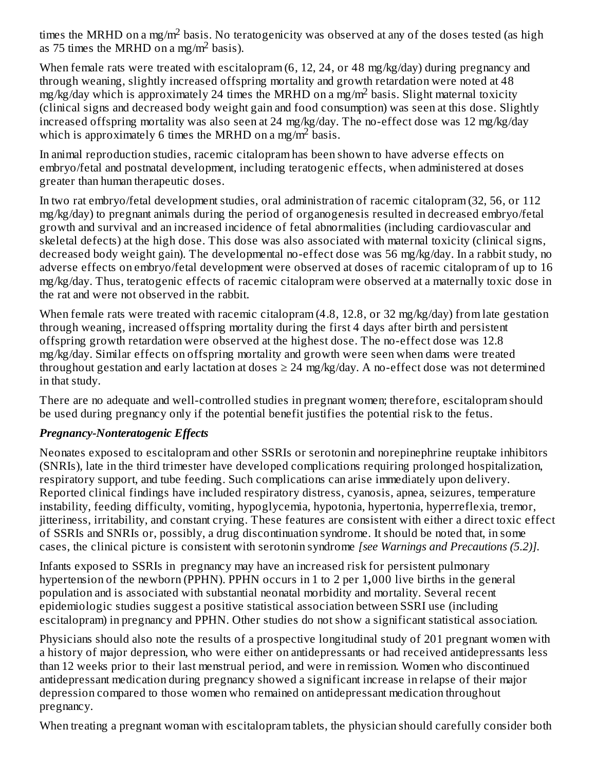times the MRHD on a mg/m<sup>2</sup> basis. No teratogenicity was observed at any of the doses tested (as high as 75 times the MRHD on a mg/m<sup>2</sup> basis).

When female rats were treated with escitalopram (6, 12, 24, or 48 mg/kg/day) during pregnancy and through weaning, slightly increased offspring mortality and growth retardation were noted at 48  $mg/kg/day$  which is approximately 24 times the MRHD on a mg/m<sup>2</sup> basis. Slight maternal toxicity (clinical signs and decreased body weight gain and food consumption) was seen at this dose. Slightly increased offspring mortality was also seen at 24 mg/kg/day. The no-effect dose was 12 mg/kg/day which is approximately 6 times the MRHD on a mg/m<sup>2</sup> basis.

In animal reproduction studies, racemic citalopram has been shown to have adverse effects on embryo/fetal and postnatal development, including teratogenic effects, when administered at doses greater than human therapeutic doses.

In two rat embryo/fetal development studies, oral administration of racemic citalopram (32, 56, or 112 mg/kg/day) to pregnant animals during the period of organogenesis resulted in decreased embryo/fetal growth and survival and an increased incidence of fetal abnormalities (including cardiovascular and skeletal defects) at the high dose. This dose was also associated with maternal toxicity (clinical signs, decreased body weight gain). The developmental no-effect dose was 56 mg/kg/day. In a rabbit study, no adverse effects on embryo/fetal development were observed at doses of racemic citalopram of up to 16 mg/kg/day. Thus, teratogenic effects of racemic citalopram were observed at a maternally toxic dose in the rat and were not observed in the rabbit.

When female rats were treated with racemic citalopram (4.8, 12.8, or 32 mg/kg/day) from late gestation through weaning, increased offspring mortality during the first 4 days after birth and persistent offspring growth retardation were observed at the highest dose. The no-effect dose was 12.8 mg/kg/day. Similar effects on offspring mortality and growth were seen when dams were treated throughout gestation and early lactation at doses  $\geq 24$  mg/kg/day. A no-effect dose was not determined in that study.

There are no adequate and well-controlled studies in pregnant women; therefore, escitalopram should be used during pregnancy only if the potential benefit justifies the potential risk to the fetus.

## *Pregnancy-Nonteratogenic Effects*

Neonates exposed to escitalopram and other SSRIs or serotonin and norepinephrine reuptake inhibitors (SNRIs), late in the third trimester have developed complications requiring prolonged hospitalization, respiratory support, and tube feeding. Such complications can arise immediately upon delivery. Reported clinical findings have included respiratory distress, cyanosis, apnea, seizures, temperature instability, feeding difficulty, vomiting, hypoglycemia, hypotonia, hypertonia, hyperreflexia, tremor, jitteriness, irritability, and constant crying. These features are consistent with either a direct toxic effect of SSRIs and SNRIs or, possibly, a drug discontinuation syndrome. It should be noted that, in some cases, the clinical picture is consistent with serotonin syndrome *[see Warnings and Precautions (5.2)].*

Infants exposed to SSRIs in pregnancy may have an increased risk for persistent pulmonary hypertension of the newborn (PPHN). PPHN occurs in 1 to 2 per 1**,**000 live births in the general population and is associated with substantial neonatal morbidity and mortality. Several recent epidemiologic studies suggest a positive statistical association between SSRI use (including escitalopram) in pregnancy and PPHN. Other studies do not show a significant statistical association.

Physicians should also note the results of a prospective longitudinal study of 201 pregnant women with a history of major depression, who were either on antidepressants or had received antidepressants less than 12 weeks prior to their last menstrual period, and were in remission. Women who discontinued antidepressant medication during pregnancy showed a significant increase in relapse of their major depression compared to those women who remained on antidepressant medication throughout pregnancy.

When treating a pregnant woman with escitalopram tablets, the physician should carefully consider both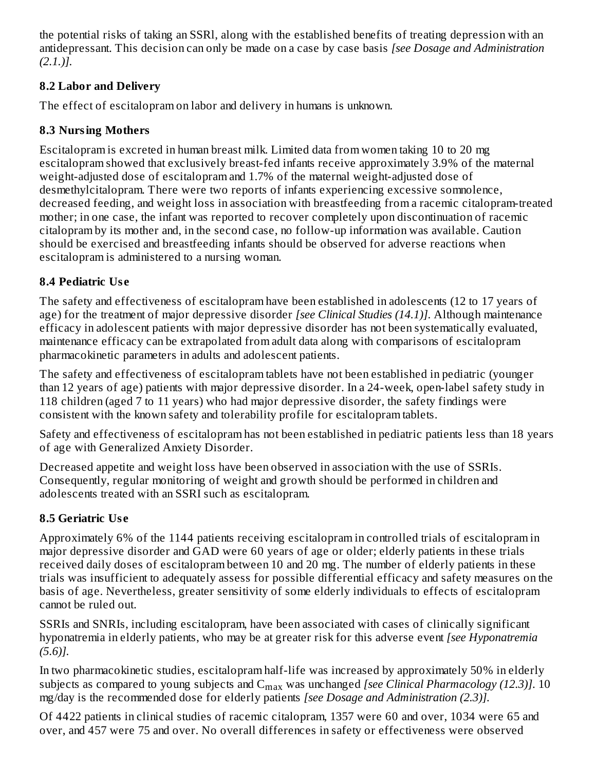the potential risks of taking an SSRl, along with the established benefits of treating depression with an antidepressant. This decision can only be made on a case by case basis *[see Dosage and Administration (2.1.)].*

## **8.2 Labor and Delivery**

The effect of escitalopram on labor and delivery in humans is unknown.

# **8.3 Nursing Mothers**

Escitalopram is excreted in human breast milk. Limited data from women taking 10 to 20 mg escitalopram showed that exclusively breast-fed infants receive approximately 3.9% of the maternal weight-adjusted dose of escitalopram and 1.7% of the maternal weight-adjusted dose of desmethylcitalopram. There were two reports of infants experiencing excessive somnolence, decreased feeding, and weight loss in association with breastfeeding from a racemic citalopram-treated mother; in one case, the infant was reported to recover completely upon discontinuation of racemic citalopram by its mother and, in the second case, no follow-up information was available. Caution should be exercised and breastfeeding infants should be observed for adverse reactions when escitalopram is administered to a nursing woman.

# **8.4 Pediatric Us e**

The safety and effectiveness of escitalopram have been established in adolescents (12 to 17 years of age) for the treatment of major depressive disorder *[see Clinical Studies (14.1)]*. Although maintenance efficacy in adolescent patients with major depressive disorder has not been systematically evaluated, maintenance efficacy can be extrapolated from adult data along with comparisons of escitalopram pharmacokinetic parameters in adults and adolescent patients.

The safety and effectiveness of escitalopram tablets have not been established in pediatric (younger than 12 years of age) patients with major depressive disorder. In a 24-week, open-label safety study in 118 children (aged 7 to 11 years) who had major depressive disorder, the safety findings were consistent with the known safety and tolerability profile for escitalopram tablets.

Safety and effectiveness of escitalopram has not been established in pediatric patients less than 18 years of age with Generalized Anxiety Disorder.

Decreased appetite and weight loss have been observed in association with the use of SSRIs. Consequently, regular monitoring of weight and growth should be performed in children and adolescents treated with an SSRI such as escitalopram.

# **8.5 Geriatric Us e**

Approximately 6% of the 1144 patients receiving escitalopram in controlled trials of escitalopram in major depressive disorder and GAD were 60 years of age or older; elderly patients in these trials received daily doses of escitalopram between 10 and 20 mg. The number of elderly patients in these trials was insufficient to adequately assess for possible differential efficacy and safety measures on the basis of age. Nevertheless, greater sensitivity of some elderly individuals to effects of escitalopram cannot be ruled out.

SSRIs and SNRIs, including escitalopram, have been associated with cases of clinically significant hyponatremia in elderly patients, who may be at greater risk for this adverse event *[see Hyponatremia (5.6)].*

In two pharmacokinetic studies, escitalopram half-life was increased by approximately 50% in elderly subjects as compared to young subjects and C<sub>max</sub> was unchanged *[see Clinical Pharmacology (12.3)].* 10 mg/day is the recommended dose for elderly patients *[see Dosage and Administration (2.3)].*

Of 4422 patients in clinical studies of racemic citalopram, 1357 were 60 and over, 1034 were 65 and over, and 457 were 75 and over. No overall differences in safety or effectiveness were observed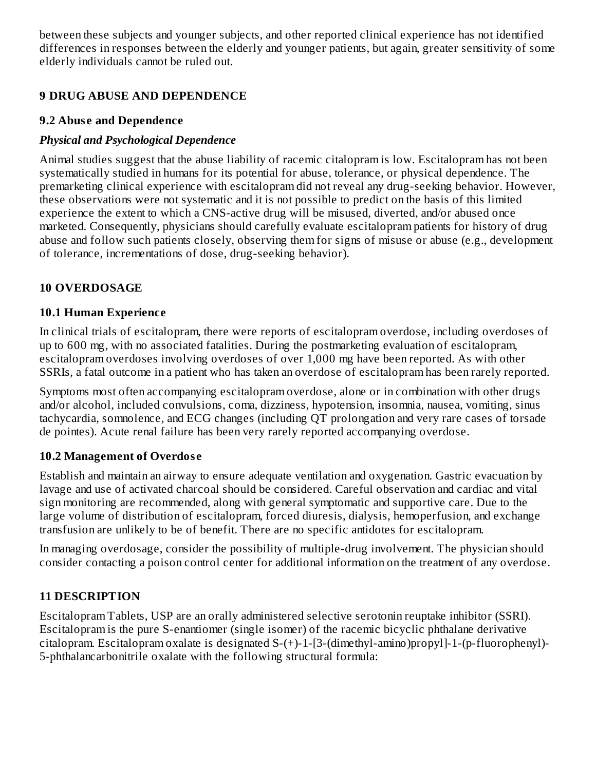between these subjects and younger subjects, and other reported clinical experience has not identified differences in responses between the elderly and younger patients, but again, greater sensitivity of some elderly individuals cannot be ruled out.

## **9 DRUG ABUSE AND DEPENDENCE**

#### **9.2 Abus e and Dependence**

#### *Physical and Psychological Dependence*

Animal studies suggest that the abuse liability of racemic citalopram is low. Escitalopram has not been systematically studied in humans for its potential for abuse, tolerance, or physical dependence. The premarketing clinical experience with escitalopram did not reveal any drug-seeking behavior. However, these observations were not systematic and it is not possible to predict on the basis of this limited experience the extent to which a CNS-active drug will be misused, diverted, and/or abused once marketed. Consequently, physicians should carefully evaluate escitalopram patients for history of drug abuse and follow such patients closely, observing them for signs of misuse or abuse (e.g., development of tolerance, incrementations of dose, drug-seeking behavior).

#### **10 OVERDOSAGE**

#### **10.1 Human Experience**

In clinical trials of escitalopram, there were reports of escitalopram overdose, including overdoses of up to 600 mg, with no associated fatalities. During the postmarketing evaluation of escitalopram, escitalopram overdoses involving overdoses of over 1,000 mg have been reported. As with other SSRIs, a fatal outcome in a patient who has taken an overdose of escitalopram has been rarely reported.

Symptoms most often accompanying escitalopram overdose, alone or in combination with other drugs and/or alcohol, included convulsions, coma, dizziness, hypotension, insomnia, nausea, vomiting, sinus tachycardia, somnolence, and ECG changes (including QT prolongation and very rare cases of torsade de pointes). Acute renal failure has been very rarely reported accompanying overdose.

#### **10.2 Management of Overdos e**

Establish and maintain an airway to ensure adequate ventilation and oxygenation. Gastric evacuation by lavage and use of activated charcoal should be considered. Careful observation and cardiac and vital sign monitoring are recommended, along with general symptomatic and supportive care. Due to the large volume of distribution of escitalopram, forced diuresis, dialysis, hemoperfusion, and exchange transfusion are unlikely to be of benefit. There are no specific antidotes for escitalopram.

In managing overdosage, consider the possibility of multiple-drug involvement. The physician should consider contacting a poison control center for additional information on the treatment of any overdose.

## **11 DESCRIPTION**

Escitalopram Tablets, USP are an orally administered selective serotonin reuptake inhibitor (SSRI). Escitalopram is the pure S-enantiomer (single isomer) of the racemic bicyclic phthalane derivative citalopram. Escitalopram oxalate is designated S-(+)-1-[3-(dimethyl-amino)propyl]-1-(p-fluorophenyl)- 5-phthalancarbonitrile oxalate with the following structural formula: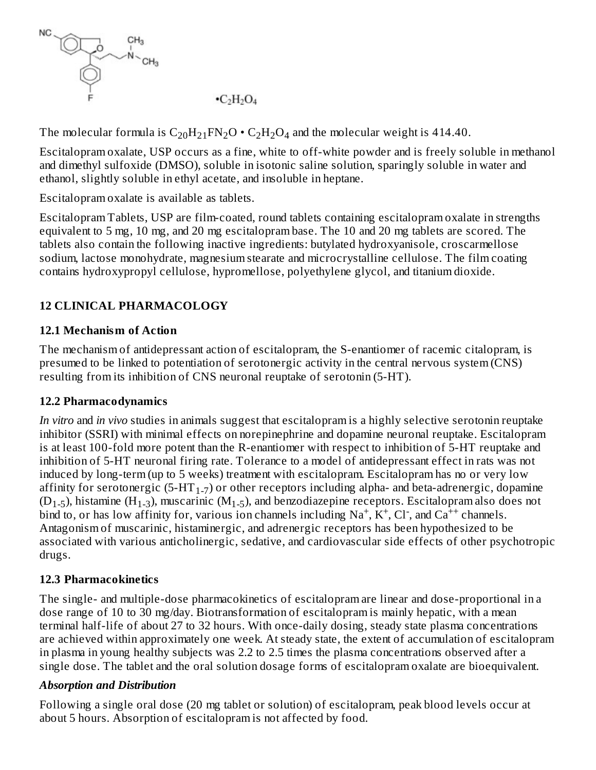

The molecular formula is  $C_{20}H_{21}FN_{2}O \cdot C_{2}H_{2}O_{4}$  and the molecular weight is 414.40.

Escitalopram oxalate, USP occurs as a fine, white to off-white powder and is freely soluble in methanol and dimethyl sulfoxide (DMSO), soluble in isotonic saline solution, sparingly soluble in water and ethanol, slightly soluble in ethyl acetate, and insoluble in heptane.

Escitalopram oxalate is available as tablets.

Escitalopram Tablets, USP are film-coated, round tablets containing escitalopram oxalate in strengths equivalent to 5 mg, 10 mg, and 20 mg escitalopram base. The 10 and 20 mg tablets are scored. The tablets also contain the following inactive ingredients: butylated hydroxyanisole, croscarmellose sodium, lactose monohydrate, magnesium stearate and microcrystalline cellulose. The film coating contains hydroxypropyl cellulose, hypromellose, polyethylene glycol, and titanium dioxide.

#### **12 CLINICAL PHARMACOLOGY**

#### **12.1 Mechanism of Action**

The mechanism of antidepressant action of escitalopram, the S-enantiomer of racemic citalopram, is presumed to be linked to potentiation of serotonergic activity in the central nervous system (CNS) resulting from its inhibition of CNS neuronal reuptake of serotonin (5-HT).

#### **12.2 Pharmacodynamics**

*In vitro* and *in vivo* studies in animals suggest that escitalopram is a highly selective serotonin reuptake inhibitor (SSRI) with minimal effects on norepinephrine and dopamine neuronal reuptake. Escitalopram is at least 100-fold more potent than the R-enantiomer with respect to inhibition of 5-HT reuptake and inhibition of 5-HT neuronal firing rate. Tolerance to a model of antidepressant effect in rats was not induced by long-term (up to 5 weeks) treatment with escitalopram. Escitalopram has no or very low affinity for serotonergic (5-HT<sub>1-7</sub>) or other receptors including alpha- and beta-adrenergic, dopamine (D<sub>1-5</sub>), histamine (H<sub>1-3</sub>), muscarinic (M<sub>1-5</sub>), and benzodiazepine receptors. Escitalopram also does not bind to, or has low affinity for, various ion channels including  $Na^+$ ,  $K^+$ , Cl<sup>-</sup>, and Ca<sup>++</sup> channels. Antagonism of muscarinic, histaminergic, and adrenergic receptors has been hypothesized to be associated with various anticholinergic, sedative, and cardiovascular side effects of other psychotropic drugs.

#### **12.3 Pharmacokinetics**

The single- and multiple-dose pharmacokinetics of escitalopram are linear and dose-proportional in a dose range of 10 to 30 mg/day. Biotransformation of escitalopram is mainly hepatic, with a mean terminal half-life of about 27 to 32 hours. With once-daily dosing, steady state plasma concentrations are achieved within approximately one week. At steady state, the extent of accumulation of escitalopram in plasma in young healthy subjects was 2.2 to 2.5 times the plasma concentrations observed after a single dose. The tablet and the oral solution dosage forms of escitalopram oxalate are bioequivalent.

#### *Absorption and Distribution*

Following a single oral dose (20 mg tablet or solution) of escitalopram, peak blood levels occur at about 5 hours. Absorption of escitalopram is not affected by food.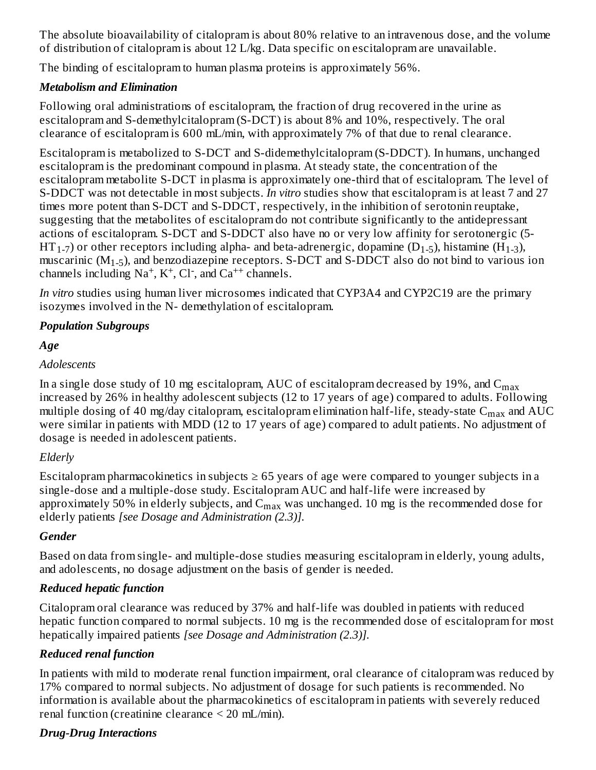The absolute bioavailability of citalopram is about 80% relative to an intravenous dose, and the volume of distribution of citalopram is about 12 L/kg. Data specific on escitalopram are unavailable.

The binding of escitalopram to human plasma proteins is approximately 56%.

## *Metabolism and Elimination*

Following oral administrations of escitalopram, the fraction of drug recovered in the urine as escitalopram and S-demethylcitalopram (S-DCT) is about 8% and 10%, respectively. The oral clearance of escitalopram is 600 mL/min, with approximately 7% of that due to renal clearance.

Escitalopram is metabolized to S-DCT and S-didemethylcitalopram (S-DDCT). In humans, unchanged escitalopram is the predominant compound in plasma. At steady state, the concentration of the escitalopram metabolite S-DCT in plasma is approximately one-third that of escitalopram. The level of S-DDCT was not detectable in most subjects. *In vitro* studies show that escitalopram is at least 7 and 27 times more potent than S-DCT and S-DDCT, respectively, in the inhibition of serotonin reuptake, suggesting that the metabolites of escitalopram do not contribute significantly to the antidepressant actions of escitalopram. S-DCT and S-DDCT also have no or very low affinity for serotonergic (5-  $\rm{HT}_{1-7}$ ) or other receptors including alpha- and beta-adrenergic, dopamine (D $_{1-5}$ ), histamine (H $_{1-3}$ ), muscarinic (M $_{\rm 1-5}$ ), and benzodiazepine receptors. S-DCT and S-DDCT also do not bind to various ion channels including  $Na^+$ ,  $K^+$ , Cl<sup>-</sup>, and  $Ca^{++}$  channels.

*In vitro* studies using human liver microsomes indicated that CYP3A4 and CYP2C19 are the primary isozymes involved in the N- demethylation of escitalopram.

## *Population Subgroups*

## *Age*

#### *Adolescents*

In a single dose study of 10 mg escitalopram, AUC of escitalopram decreased by 19%, and  $\rm{C_{max}}$ increased by 26% in healthy adolescent subjects (12 to 17 years of age) compared to adults. Following multiple dosing of 40 mg/day citalopram, escitalopram elimination half-life, steady-state  $\rm{C_{max}}$  and  $\rm{AUC}$ were similar in patients with MDD (12 to 17 years of age) compared to adult patients. No adjustment of dosage is needed in adolescent patients.

## *Elderly*

Escitalopram pharmacokinetics in subjects  $\geq 65$  years of age were compared to younger subjects in a single-dose and a multiple-dose study. Escitalopram AUC and half-life were increased by approximately 50% in elderly subjects, and  $\mathsf{C}_{\max}$  was unchanged. 10 mg is the recommended dose for elderly patients *[see Dosage and Administration (2.3)].*

## *Gender*

Based on data from single- and multiple-dose studies measuring escitalopram in elderly, young adults, and adolescents, no dosage adjustment on the basis of gender is needed.

# *Reduced hepatic function*

Citalopram oral clearance was reduced by 37% and half-life was doubled in patients with reduced hepatic function compared to normal subjects. 10 mg is the recommended dose of escitalopram for most hepatically impaired patients *[see Dosage and Administration (2.3)].*

# *Reduced renal function*

In patients with mild to moderate renal function impairment, oral clearance of citalopram was reduced by 17% compared to normal subjects. No adjustment of dosage for such patients is recommended. No information is available about the pharmacokinetics of escitalopram in patients with severely reduced renal function (creatinine clearance < 20 mL/min).

## *Drug-Drug Interactions*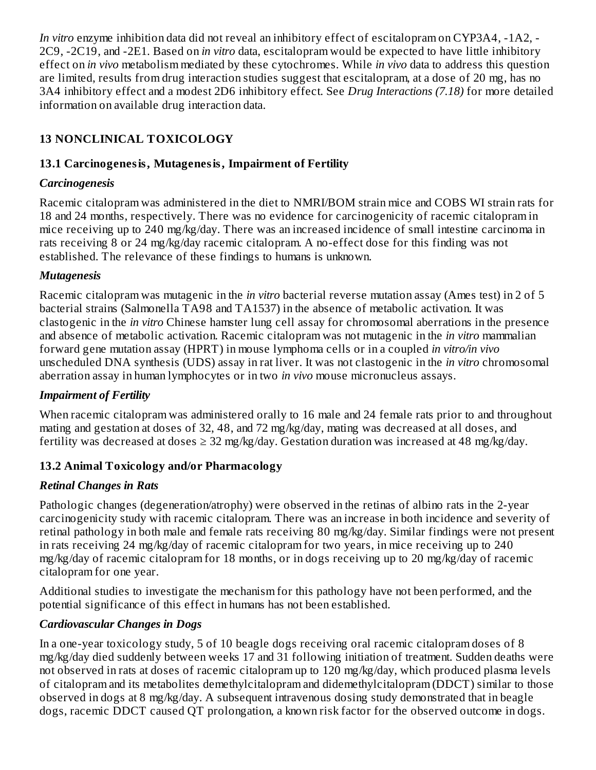*In vitro* enzyme inhibition data did not reveal an inhibitory effect of escitalopram on CYP3A4, -1A2, - 2C9, -2C19, and -2E1. Based on *in vitro* data, escitalopram would be expected to have little inhibitory effect on *in vivo* metabolism mediated by these cytochromes. While *in vivo* data to address this question are limited, results from drug interaction studies suggest that escitalopram, at a dose of 20 mg, has no 3A4 inhibitory effect and a modest 2D6 inhibitory effect. See *Drug Interactions (7.18)* for more detailed information on available drug interaction data.

# **13 NONCLINICAL TOXICOLOGY**

## **13.1 Carcinogenesis, Mutagenesis, Impairment of Fertility**

## *Carcinogenesis*

Racemic citalopram was administered in the diet to NMRI/BOM strain mice and COBS WI strain rats for 18 and 24 months, respectively. There was no evidence for carcinogenicity of racemic citalopram in mice receiving up to 240 mg/kg/day. There was an increased incidence of small intestine carcinoma in rats receiving 8 or 24 mg/kg/day racemic citalopram. A no-effect dose for this finding was not established. The relevance of these findings to humans is unknown.

## *Mutagenesis*

Racemic citalopram was mutagenic in the *in vitro* bacterial reverse mutation assay (Ames test) in 2 of 5 bacterial strains (Salmonella TA98 and TA1537) in the absence of metabolic activation. It was clastogenic in the *in vitro* Chinese hamster lung cell assay for chromosomal aberrations in the presence and absence of metabolic activation. Racemic citalopram was not mutagenic in the *in vitro* mammalian forward gene mutation assay (HPRT) in mouse lymphoma cells or in a coupled *in vitro/in vivo* unscheduled DNA synthesis (UDS) assay in rat liver. It was not clastogenic in the *in vitro* chromosomal aberration assay in human lymphocytes or in two *in vivo* mouse micronucleus assays.

## *Impairment of Fertility*

When racemic citalopram was administered orally to 16 male and 24 female rats prior to and throughout mating and gestation at doses of 32, 48, and 72 mg/kg/day, mating was decreased at all doses, and fertility was decreased at doses  $\geq$  32 mg/kg/day. Gestation duration was increased at 48 mg/kg/day.

# **13.2 Animal Toxicology and/or Pharmacology**

# *Retinal Changes in Rats*

Pathologic changes (degeneration/atrophy) were observed in the retinas of albino rats in the 2-year carcinogenicity study with racemic citalopram. There was an increase in both incidence and severity of retinal pathology in both male and female rats receiving 80 mg/kg/day. Similar findings were not present in rats receiving 24 mg/kg/day of racemic citalopram for two years, in mice receiving up to 240 mg/kg/day of racemic citalopram for 18 months, or in dogs receiving up to 20 mg/kg/day of racemic citalopram for one year.

Additional studies to investigate the mechanism for this pathology have not been performed, and the potential significance of this effect in humans has not been established.

# *Cardiovascular Changes in Dogs*

In a one-year toxicology study, 5 of 10 beagle dogs receiving oral racemic citalopram doses of 8 mg/kg/day died suddenly between weeks 17 and 31 following initiation of treatment. Sudden deaths were not observed in rats at doses of racemic citalopram up to 120 mg/kg/day, which produced plasma levels of citalopram and its metabolites demethylcitalopram and didemethylcitalopram (DDCT) similar to those observed in dogs at 8 mg/kg/day. A subsequent intravenous dosing study demonstrated that in beagle dogs, racemic DDCT caused QT prolongation, a known risk factor for the observed outcome in dogs.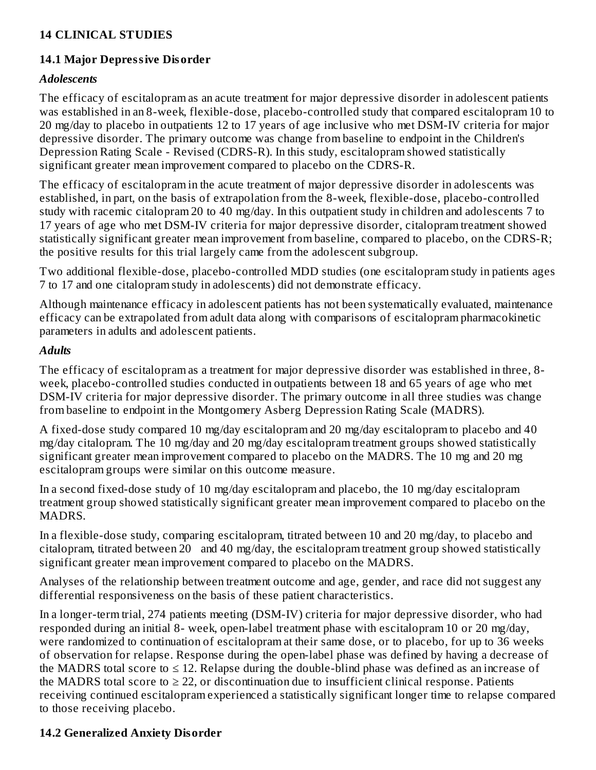## **14 CLINICAL STUDIES**

#### **14.1 Major Depressive Disorder**

#### *Adolescents*

The efficacy of escitalopram as an acute treatment for major depressive disorder in adolescent patients was established in an 8-week, flexible-dose, placebo-controlled study that compared escitalopram 10 to 20 mg/day to placebo in outpatients 12 to 17 years of age inclusive who met DSM-IV criteria for major depressive disorder. The primary outcome was change from baseline to endpoint in the Children's Depression Rating Scale - Revised (CDRS-R). In this study, escitalopram showed statistically significant greater mean improvement compared to placebo on the CDRS-R.

The efficacy of escitalopram in the acute treatment of major depressive disorder in adolescents was established, in part, on the basis of extrapolation from the 8-week, flexible-dose, placebo-controlled study with racemic citalopram 20 to 40 mg/day. In this outpatient study in children and adolescents 7 to 17 years of age who met DSM-IV criteria for major depressive disorder, citalopram treatment showed statistically significant greater mean improvement from baseline, compared to placebo, on the CDRS-R; the positive results for this trial largely came from the adolescent subgroup.

Two additional flexible-dose, placebo-controlled MDD studies (one escitalopram study in patients ages 7 to 17 and one citalopram study in adolescents) did not demonstrate efficacy.

Although maintenance efficacy in adolescent patients has not been systematically evaluated, maintenance efficacy can be extrapolated from adult data along with comparisons of escitalopram pharmacokinetic parameters in adults and adolescent patients.

#### *Adults*

The efficacy of escitalopram as a treatment for major depressive disorder was established in three, 8 week, placebo-controlled studies conducted in outpatients between 18 and 65 years of age who met DSM-IV criteria for major depressive disorder. The primary outcome in all three studies was change from baseline to endpoint in the Montgomery Asberg Depression Rating Scale (MADRS).

A fixed-dose study compared 10 mg/day escitalopram and 20 mg/day escitalopram to placebo and 40 mg/day citalopram. The 10 mg/day and 20 mg/day escitalopram treatment groups showed statistically significant greater mean improvement compared to placebo on the MADRS. The 10 mg and 20 mg escitalopram groups were similar on this outcome measure.

In a second fixed-dose study of 10 mg/day escitalopram and placebo, the 10 mg/day escitalopram treatment group showed statistically significant greater mean improvement compared to placebo on the MADRS.

In a flexible-dose study, comparing escitalopram, titrated between 10 and 20 mg/day, to placebo and citalopram, titrated between 20 and 40 mg/day, the escitalopram treatment group showed statistically significant greater mean improvement compared to placebo on the MADRS.

Analyses of the relationship between treatment outcome and age, gender, and race did not suggest any differential responsiveness on the basis of these patient characteristics.

In a longer-term trial, 274 patients meeting (DSM-IV) criteria for major depressive disorder, who had responded during an initial 8- week, open-label treatment phase with escitalopram 10 or 20 mg/day, were randomized to continuation of escitalopram at their same dose, or to placebo, for up to 36 weeks of observation for relapse. Response during the open-label phase was defined by having a decrease of the MADRS total score to  $\leq 12$ . Relapse during the double-blind phase was defined as an increase of the MADRS total score to  $\geq$  22, or discontinuation due to insufficient clinical response. Patients receiving continued escitalopram experienced a statistically significant longer time to relapse compared to those receiving placebo.

#### **14.2 Generalized Anxiety Disorder**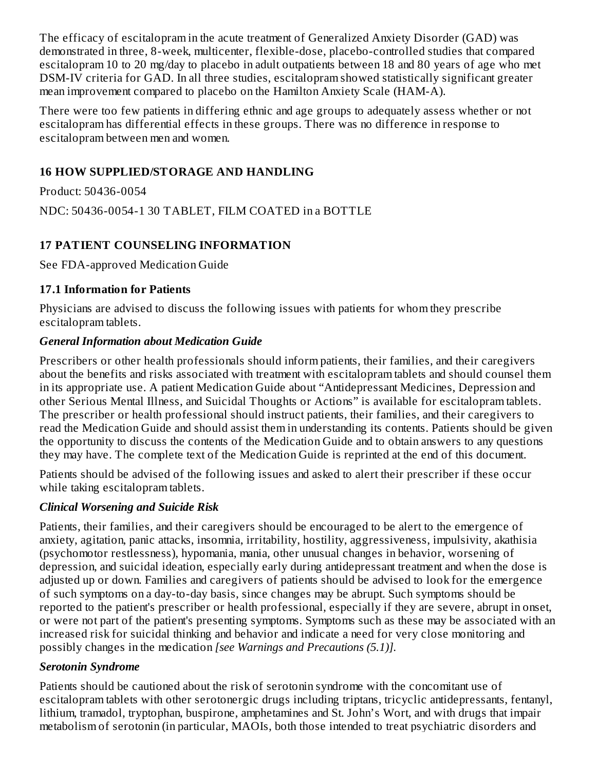The efficacy of escitalopram in the acute treatment of Generalized Anxiety Disorder (GAD) was demonstrated in three, 8-week, multicenter, flexible-dose, placebo-controlled studies that compared escitalopram 10 to 20 mg/day to placebo in adult outpatients between 18 and 80 years of age who met DSM-IV criteria for GAD. In all three studies, escitalopram showed statistically significant greater mean improvement compared to placebo on the Hamilton Anxiety Scale (HAM-A).

There were too few patients in differing ethnic and age groups to adequately assess whether or not escitalopram has differential effects in these groups. There was no difference in response to escitalopram between men and women.

#### **16 HOW SUPPLIED/STORAGE AND HANDLING**

Product: 50436-0054

NDC: 50436-0054-1 30 TABLET, FILM COATED in a BOTTLE

## **17 PATIENT COUNSELING INFORMATION**

See FDA-approved Medication Guide

#### **17.1 Information for Patients**

Physicians are advised to discuss the following issues with patients for whom they prescribe escitalopram tablets.

#### *General Information about Medication Guide*

Prescribers or other health professionals should inform patients, their families, and their caregivers about the benefits and risks associated with treatment with escitalopram tablets and should counsel them in its appropriate use. A patient Medication Guide about "Antidepressant Medicines, Depression and other Serious Mental Illness, and Suicidal Thoughts or Actions" is available for escitalopram tablets. The prescriber or health professional should instruct patients, their families, and their caregivers to read the Medication Guide and should assist them in understanding its contents. Patients should be given the opportunity to discuss the contents of the Medication Guide and to obtain answers to any questions they may have. The complete text of the Medication Guide is reprinted at the end of this document.

Patients should be advised of the following issues and asked to alert their prescriber if these occur while taking escitalopram tablets.

## *Clinical Worsening and Suicide Risk*

Patients, their families, and their caregivers should be encouraged to be alert to the emergence of anxiety, agitation, panic attacks, insomnia, irritability, hostility, aggressiveness, impulsivity, akathisia (psychomotor restlessness), hypomania, mania, other unusual changes in behavior, worsening of depression, and suicidal ideation, especially early during antidepressant treatment and when the dose is adjusted up or down. Families and caregivers of patients should be advised to look for the emergence of such symptoms on a day-to-day basis, since changes may be abrupt. Such symptoms should be reported to the patient's prescriber or health professional, especially if they are severe, abrupt in onset, or were not part of the patient's presenting symptoms. Symptoms such as these may be associated with an increased risk for suicidal thinking and behavior and indicate a need for very close monitoring and possibly changes in the medication *[see Warnings and Precautions (5.1)].*

## *Serotonin Syndrome*

Patients should be cautioned about the risk of serotonin syndrome with the concomitant use of escitalopram tablets with other serotonergic drugs including triptans, tricyclic antidepressants, fentanyl, lithium, tramadol, tryptophan, buspirone, amphetamines and St. John's Wort, and with drugs that impair metabolism of serotonin (in particular, MAOIs, both those intended to treat psychiatric disorders and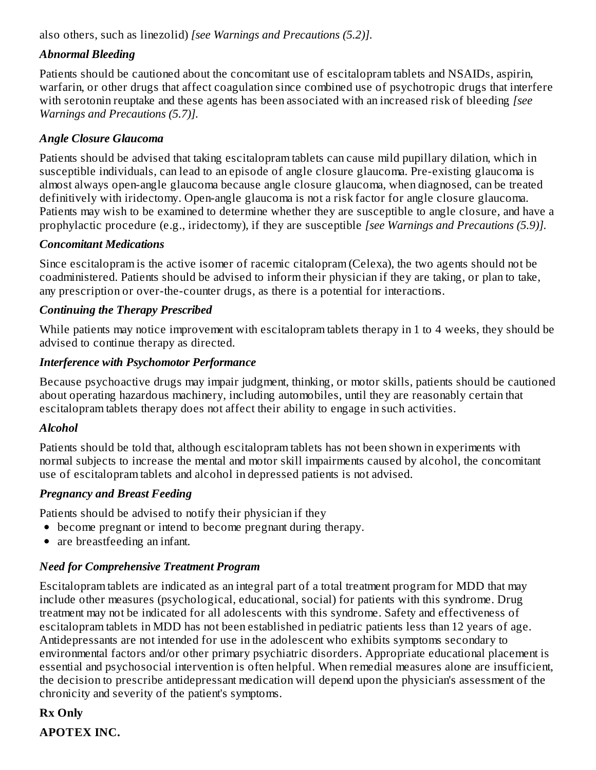also others, such as linezolid) *[see Warnings and Precautions (5.2)].*

#### *Abnormal Bleeding*

Patients should be cautioned about the concomitant use of escitalopram tablets and NSAIDs, aspirin, warfarin, or other drugs that affect coagulation since combined use of psychotropic drugs that interfere with serotonin reuptake and these agents has been associated with an increased risk of bleeding *[see Warnings and Precautions (5.7)].*

#### *Angle Closure Glaucoma*

Patients should be advised that taking escitalopram tablets can cause mild pupillary dilation, which in susceptible individuals, can lead to an episode of angle closure glaucoma. Pre-existing glaucoma is almost always open-angle glaucoma because angle closure glaucoma, when diagnosed, can be treated definitively with iridectomy. Open-angle glaucoma is not a risk factor for angle closure glaucoma. Patients may wish to be examined to determine whether they are susceptible to angle closure, and have a prophylactic procedure (e.g., iridectomy), if they are susceptible *[see Warnings and Precautions (5.9)].*

#### *Concomitant Medications*

Since escitalopram is the active isomer of racemic citalopram (Celexa), the two agents should not be coadministered. Patients should be advised to inform their physician if they are taking, or plan to take, any prescription or over-the-counter drugs, as there is a potential for interactions.

#### *Continuing the Therapy Prescribed*

While patients may notice improvement with escitalopram tablets therapy in 1 to 4 weeks, they should be advised to continue therapy as directed.

#### *Interference with Psychomotor Performance*

Because psychoactive drugs may impair judgment, thinking, or motor skills, patients should be cautioned about operating hazardous machinery, including automobiles, until they are reasonably certain that escitalopram tablets therapy does not affect their ability to engage in such activities.

#### *Alcohol*

Patients should be told that, although escitalopram tablets has not been shown in experiments with normal subjects to increase the mental and motor skill impairments caused by alcohol, the concomitant use of escitalopram tablets and alcohol in depressed patients is not advised.

#### *Pregnancy and Breast Feeding*

Patients should be advised to notify their physician if they

- become pregnant or intend to become pregnant during therapy.
- are breastfeeding an infant.

## *Need for Comprehensive Treatment Program*

Escitalopram tablets are indicated as an integral part of a total treatment program for MDD that may include other measures (psychological, educational, social) for patients with this syndrome. Drug treatment may not be indicated for all adolescents with this syndrome. Safety and effectiveness of escitalopram tablets in MDD has not been established in pediatric patients less than 12 years of age. Antidepressants are not intended for use in the adolescent who exhibits symptoms secondary to environmental factors and/or other primary psychiatric disorders. Appropriate educational placement is essential and psychosocial intervention is often helpful. When remedial measures alone are insufficient, the decision to prescribe antidepressant medication will depend upon the physician's assessment of the chronicity and severity of the patient's symptoms.

## **Rx Only**

**APOTEX INC.**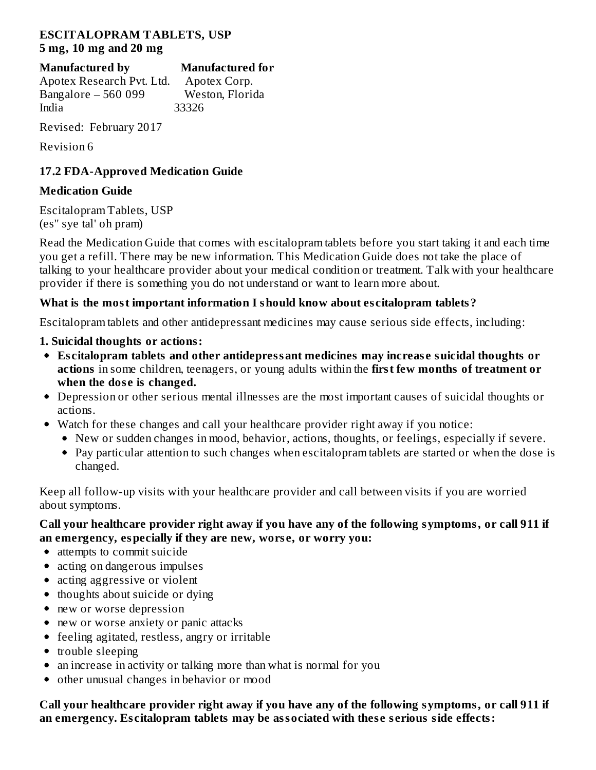#### **ESCITALOPRAM TABLETS, USP 5 mg, 10 mg and 20 mg**

| <b>Manufactured by</b>    | <b>Manufactured for</b> |
|---------------------------|-------------------------|
| Apotex Research Pvt. Ltd. | Apotex Corp.            |
| Bangalore $-560099$       | Weston, Florida         |
| India                     | 33326                   |

Revised: February 2017

Revision 6

#### **17.2 FDA-Approved Medication Guide**

#### **Medication Guide**

Escitalopram Tablets, USP (es'' sye tal' oh pram)

Read the Medication Guide that comes with escitalopram tablets before you start taking it and each time you get a refill. There may be new information. This Medication Guide does not take the place of talking to your healthcare provider about your medical condition or treatment. Talk with your healthcare provider if there is something you do not understand or want to learn more about.

#### **What is the most important information I should know about es citalopram tablets?**

Escitalopram tablets and other antidepressant medicines may cause serious side effects, including:

#### **1. Suicidal thoughts or actions:**

- **Es citalopram tablets and other antidepressant medicines may increas e suicidal thoughts or actions** in some children, teenagers, or young adults within the **first few months of treatment or when the dos e is changed.**
- Depression or other serious mental illnesses are the most important causes of suicidal thoughts or actions.
- Watch for these changes and call your healthcare provider right away if you notice:
	- New or sudden changes in mood, behavior, actions, thoughts, or feelings, especially if severe.
	- Pay particular attention to such changes when escitalopram tablets are started or when the dose is changed.

Keep all follow-up visits with your healthcare provider and call between visits if you are worried about symptoms.

#### **Call your healthcare provider right away if you have any of the following symptoms, or call 911 if an emergency, especially if they are new, wors e, or worry you:**

- attempts to commit suicide
- acting on dangerous impulses
- acting aggressive or violent
- $\bullet$  thoughts about suicide or dying
- new or worse depression
- new or worse anxiety or panic attacks
- feeling agitated, restless, angry or irritable
- trouble sleeping
- an increase in activity or talking more than what is normal for you
- other unusual changes in behavior or mood

#### **Call your healthcare provider right away if you have any of the following symptoms, or call 911 if an emergency. Es citalopram tablets may be associated with thes e s erious side effects:**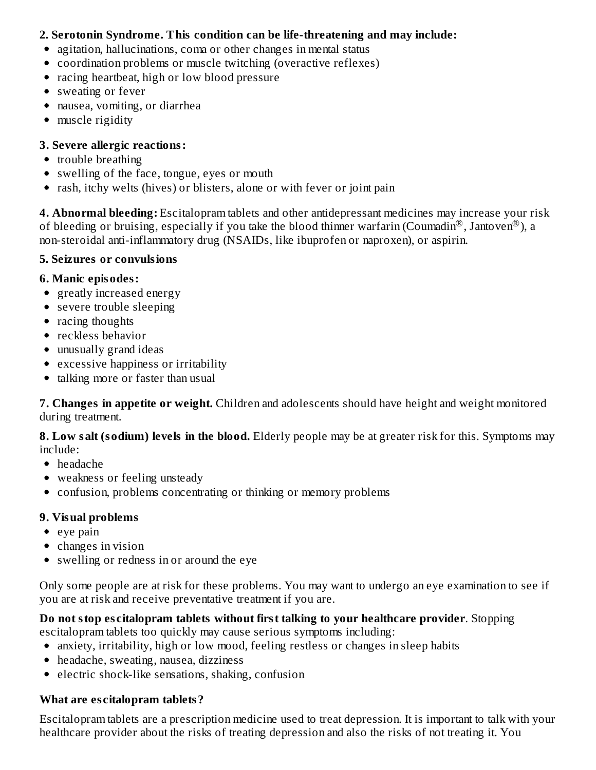#### **2. Serotonin Syndrome. This condition can be life-threatening and may include:**

- agitation, hallucinations, coma or other changes in mental status
- coordination problems or muscle twitching (overactive reflexes)
- racing heartbeat, high or low blood pressure
- sweating or fever
- nausea, vomiting, or diarrhea
- muscle rigidity

#### **3. Severe allergic reactions:**

- trouble breathing
- swelling of the face, tongue, eyes or mouth
- rash, itchy welts (hives) or blisters, alone or with fever or joint pain

**4. Abnormal bleeding:** Escitalopram tablets and other antidepressant medicines may increase your risk of bleeding or bruising, especially if you take the blood thinner warfarin (Coumadin®, Jantoven®), a non-steroidal anti-inflammatory drug (NSAIDs, like ibuprofen or naproxen), or aspirin.

#### **5. Seizures or convulsions**

#### **6. Manic episodes:**

- greatly increased energy
- severe trouble sleeping
- racing thoughts
- reckless behavior
- unusually grand ideas
- excessive happiness or irritability
- talking more or faster than usual

**7. Changes in appetite or weight.** Children and adolescents should have height and weight monitored during treatment.

**8. Low salt (sodium) levels in the blood.** Elderly people may be at greater risk for this. Symptoms may include:

- headache
- weakness or feeling unsteady
- confusion, problems concentrating or thinking or memory problems

## **9. Visual problems**

- $\bullet$  eye pain
- changes in vision
- swelling or redness in or around the eye

Only some people are at risk for these problems. You may want to undergo an eye examination to see if you are at risk and receive preventative treatment if you are.

**Do not stop es citalopram tablets without first talking to your healthcare provider**. Stopping

escitalopram tablets too quickly may cause serious symptoms including:

- anxiety, irritability, high or low mood, feeling restless or changes in sleep habits
- headache, sweating, nausea, dizziness
- electric shock-like sensations, shaking, confusion

## **What are es citalopram tablets?**

Escitalopram tablets are a prescription medicine used to treat depression. It is important to talk with your healthcare provider about the risks of treating depression and also the risks of not treating it. You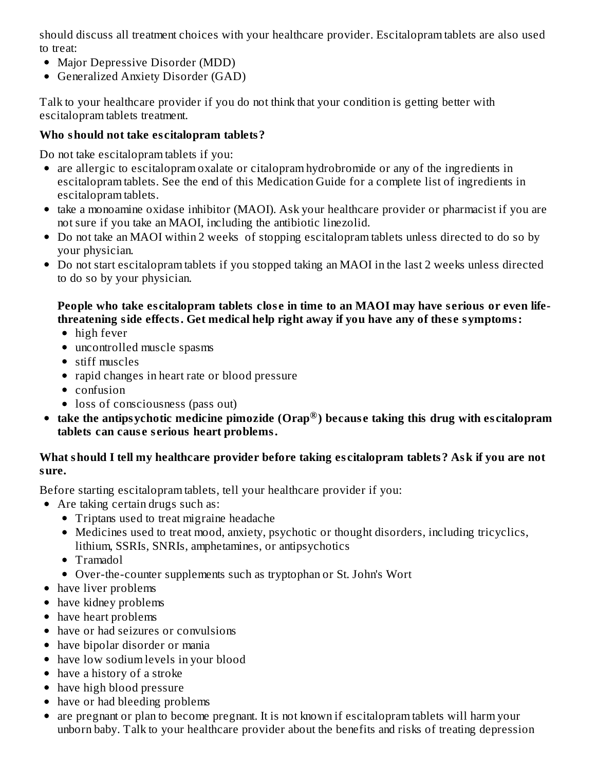should discuss all treatment choices with your healthcare provider. Escitalopram tablets are also used to treat:

- Major Depressive Disorder (MDD)
- Generalized Anxiety Disorder (GAD)

Talk to your healthcare provider if you do not think that your condition is getting better with escitalopram tablets treatment.

#### **Who should not take es citalopram tablets?**

Do not take escitalopram tablets if you:

- are allergic to escitalopram oxalate or citalopram hydrobromide or any of the ingredients in escitalopram tablets. See the end of this Medication Guide for a complete list of ingredients in escitalopram tablets.
- take a monoamine oxidase inhibitor (MAOI). Ask your healthcare provider or pharmacist if you are not sure if you take an MAOI, including the antibiotic linezolid.
- Do not take an MAOI within 2 weeks of stopping escitalopram tablets unless directed to do so by your physician.
- Do not start escitalopram tablets if you stopped taking an MAOI in the last 2 weeks unless directed to do so by your physician.

## People who take escitalopram tablets close in time to an MAOI may have serious or even life**threatening side effects. Get medical help right away if you have any of thes e symptoms:**

- high fever
- uncontrolled muscle spasms
- stiff muscles
- rapid changes in heart rate or blood pressure
- confusion
- loss of consciousness (pass out)
- **take the antipsychotic medicine pimozide (Orap ) becaus e taking this drug with es citalopram ®tablets can caus e s erious heart problems.**

#### **What should I tell my healthcare provider before taking es citalopram tablets? Ask if you are not sure.**

Before starting escitalopram tablets, tell your healthcare provider if you:

- Are taking certain drugs such as:
	- Triptans used to treat migraine headache
	- Medicines used to treat mood, anxiety, psychotic or thought disorders, including tricyclics, lithium, SSRIs, SNRIs, amphetamines, or antipsychotics
	- Tramadol
	- Over-the-counter supplements such as tryptophan or St. John's Wort
- have liver problems
- have kidney problems
- have heart problems
- have or had seizures or convulsions
- have bipolar disorder or mania
- have low sodium levels in your blood
- have a history of a stroke
- have high blood pressure
- have or had bleeding problems
- are pregnant or plan to become pregnant. It is not known if escitalopram tablets will harm your unborn baby. Talk to your healthcare provider about the benefits and risks of treating depression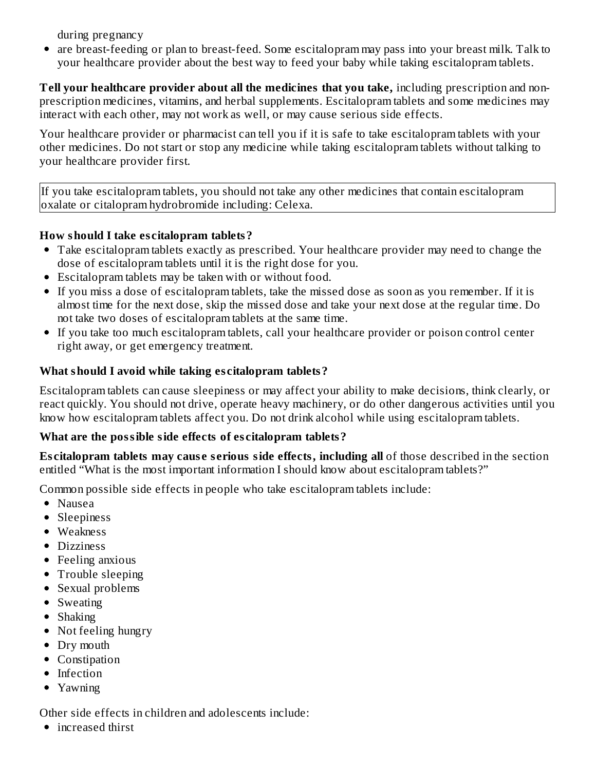during pregnancy

are breast-feeding or plan to breast-feed. Some escitalopram may pass into your breast milk. Talk to your healthcare provider about the best way to feed your baby while taking escitalopram tablets.

**Tell your healthcare provider about all the medicines that you take,** including prescription and nonprescription medicines, vitamins, and herbal supplements. Escitalopram tablets and some medicines may interact with each other, may not work as well, or may cause serious side effects.

Your healthcare provider or pharmacist can tell you if it is safe to take escitalopram tablets with your other medicines. Do not start or stop any medicine while taking escitalopram tablets without talking to your healthcare provider first.

If you take escitalopram tablets, you should not take any other medicines that contain escitalopram oxalate or citalopram hydrobromide including: Celexa.

## **How should I take es citalopram tablets?**

- Take escitalopram tablets exactly as prescribed. Your healthcare provider may need to change the dose of escitalopram tablets until it is the right dose for you.
- Escitalopram tablets may be taken with or without food.
- If you miss a dose of escitalopram tablets, take the missed dose as soon as you remember. If it is almost time for the next dose, skip the missed dose and take your next dose at the regular time. Do not take two doses of escitalopram tablets at the same time.
- If you take too much escitalopram tablets, call your healthcare provider or poison control center right away, or get emergency treatment.

## **What should I avoid while taking es citalopram tablets?**

Escitalopram tablets can cause sleepiness or may affect your ability to make decisions, think clearly, or react quickly. You should not drive, operate heavy machinery, or do other dangerous activities until you know how escitalopram tablets affect you. Do not drink alcohol while using escitalopram tablets.

## **What are the possible side effects of es citalopram tablets?**

**Es citalopram tablets may caus e s erious side effects, including all** of those described in the section entitled "What is the most important information I should know about escitalopram tablets?"

Common possible side effects in people who take escitalopram tablets include:

- Nausea
- Sleepiness
- Weakness
- Dizziness
- Feeling anxious
- Trouble sleeping
- Sexual problems
- Sweating
- Shaking
- Not feeling hungry
- Dry mouth
- Constipation
- Infection
- Yawning

Other side effects in children and adolescents include:

• increased thirst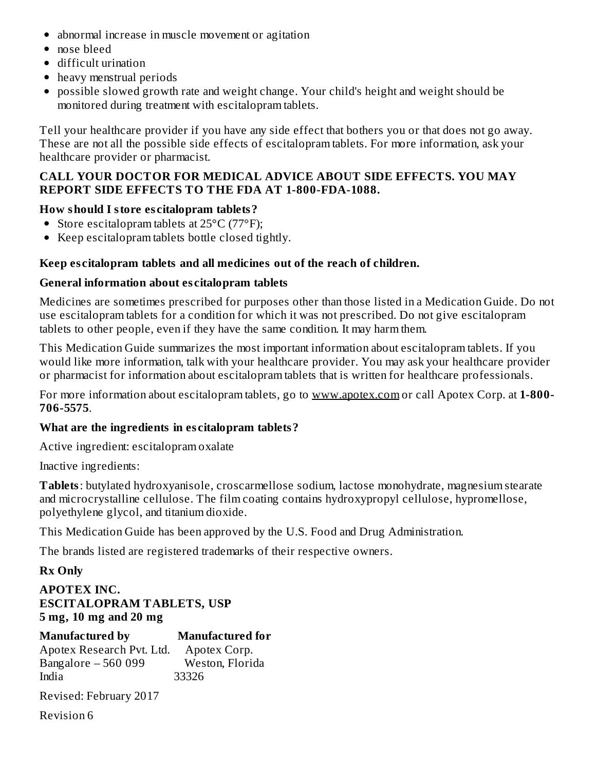- abnormal increase in muscle movement or agitation  $\bullet$
- nose bleed
- difficult urination
- heavy menstrual periods
- possible slowed growth rate and weight change. Your child's height and weight should be monitored during treatment with escitalopram tablets.

Tell your healthcare provider if you have any side effect that bothers you or that does not go away. These are not all the possible side effects of escitalopram tablets. For more information, ask your healthcare provider or pharmacist.

#### **CALL YOUR DOCTOR FOR MEDICAL ADVICE ABOUT SIDE EFFECTS. YOU MAY REPORT SIDE EFFECTS TO THE FDA AT 1-800-FDA-1088.**

#### **How should I store es citalopram tablets?**

- Store escitalopram tablets at  $25^{\circ}$ C (77 $^{\circ}$ F);
- Keep escitalopram tablets bottle closed tightly.

#### **Keep es citalopram tablets and all medicines out of the reach of children.**

#### **General information about es citalopram tablets**

Medicines are sometimes prescribed for purposes other than those listed in a Medication Guide. Do not use escitalopram tablets for a condition for which it was not prescribed. Do not give escitalopram tablets to other people, even if they have the same condition. It may harm them.

This Medication Guide summarizes the most important information about escitalopram tablets. If you would like more information, talk with your healthcare provider. You may ask your healthcare provider or pharmacist for information about escitalopram tablets that is written for healthcare professionals.

For more information about escitalopram tablets, go to www.apotex.com or call Apotex Corp. at **1-800- 706-5575**.

#### **What are the ingredients in es citalopram tablets?**

Active ingredient: escitalopram oxalate

Inactive ingredients:

**Tablets**: butylated hydroxyanisole, croscarmellose sodium, lactose monohydrate, magnesium stearate and microcrystalline cellulose. The film coating contains hydroxypropyl cellulose, hypromellose, polyethylene glycol, and titanium dioxide.

This Medication Guide has been approved by the U.S. Food and Drug Administration.

The brands listed are registered trademarks of their respective owners.

#### **Rx Only**

#### **APOTEX INC. ESCITALOPRAM TABLETS, USP 5 mg, 10 mg and 20 mg**

**Manufactured by Manufactured for** Apotex Research Pvt. Ltd. Apotex Corp. Bangalore – 560 099 Weston, Florida India 33326

Revised: February 2017

Revision 6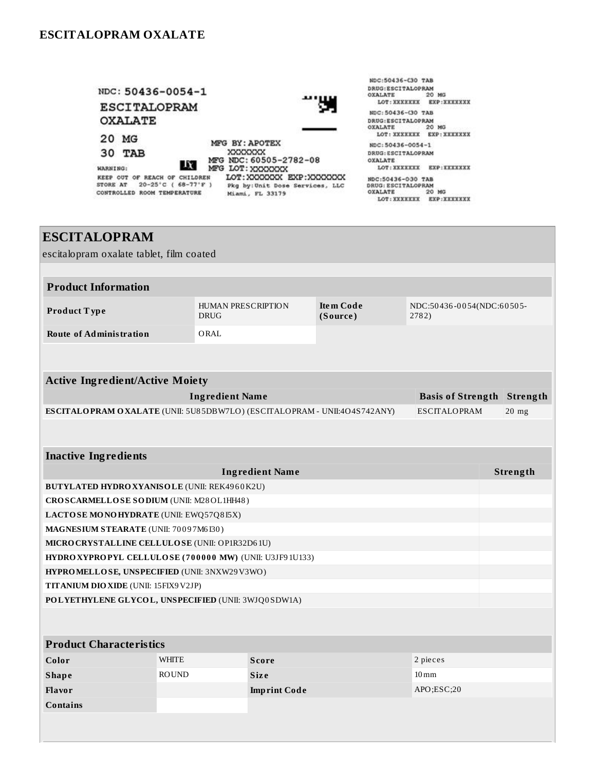|                                  |                                 | <b>NUCLOVAJD-CJV IAB</b>                        |
|----------------------------------|---------------------------------|-------------------------------------------------|
| NDC: 50436-0054-1                |                                 | DRUG: ESCITALOPRAM                              |
|                                  | ுயா                             | 20 MG<br>OXALATE<br>EXP:XXXXXXX<br>LOT: XXXXXXX |
| <b>ESCITALOPRAM</b>              |                                 |                                                 |
|                                  |                                 | NDC: 50436-C30 TAB                              |
| OXALATE                          |                                 | DRUG: ESCITALOPRAM                              |
|                                  |                                 | 20 MG<br>OXALATE                                |
| 20 MG                            |                                 | EXP: XXXXXXX<br>LOT: XXXXXXX                    |
|                                  | MFG BY: APOTEX                  | NDC: 50436-0054-1                               |
| 30 TAB                           | XXXXXXX                         | DRUG: ESCITALOPRAM                              |
|                                  | MFG NDC: 60505-2782-08          | <b>OXALATE</b>                                  |
| Iх.<br>WARNING:                  | MFG LOT: XXXXXXX                | LOT: XXXXXXX<br>EXP:XXXXXXX                     |
| KEEP OUT OF REACH OF CHILDREN    | LOT: XXXXXXX EXP: XXXXXXX       | NDC:50436-030 TAB                               |
| $20-25$ °C (68-77°F)<br>STORE AT | Pkg by: Unit Dose Services, LLC | DRUG: ESCITALOPRAM                              |
| CONTROLLED ROOM TEMPERATURE      | Miami, FL 33179                 | 20 MG<br>OXALATE                                |
|                                  |                                 | LOT: XXXXXXX<br>EXP:XXXXXXX                     |
|                                  |                                 |                                                 |
|                                  |                                 |                                                 |

 $m = 50136 - 530$ 

## **ESCITALOPRAM** escitalopram oxalate tablet, film coated **Product Information Product T ype** HUMAN PRESCRIPTION DRUG **Ite m Code (Source )** NDC:50 436 -0 0 54(NDC:6 0 50 5- 278 2) **Route of Administration** ORAL **Active Ingredient/Active Moiety Ingredient Name Basis of Strength Strength ESCITALOPRAM OXALATE** (UNII: 5U8 5DBW7LO) (ESCITALOPRAM - UNII:4O4S742ANY) ESCITALOPRAM 20 mg **Inactive Ingredients Ingredient Name Strength BUTYLATED HYDROXYANISOLE** (UNII: REK49 6 0K2U) **CROSCARMELLOSE SODIUM** (UNII: M28OL1HH48 )

**LACTOSE MONOHYDRATE** (UNII: EWQ57Q8 I5X)

**MAGNESIUM STEARATE** (UNII: 70 0 9 7M6 I30 )

**MICROCRYSTALLINE CELLULOSE** (UNII: OP1R32D6 1U) **HYDROXYPROPYL CELLULOSE ( 7 0 0 0 0 0 MW)** (UNII: U3JF9 1U133) **HYPROMELLOSE, UNSPECIFIED** (UNII: 3NXW29V3WO)

**TITANIUM DIOXIDE** (UNII: 15FIX9V2JP)

**POLYETHYLENE GLYCOL, UNSPECIFIED** (UNII: 3WJQ0 SDW1A)

| <b>Product Characteristics</b> |       |                     |                      |  |  |
|--------------------------------|-------|---------------------|----------------------|--|--|
| Color                          | WHITE | <b>Score</b>        | 2 pieces             |  |  |
| <b>Shape</b>                   | ROUND | <b>Size</b>         | $10 \,\mathrm{mm}$   |  |  |
| Flavor                         |       | <b>Imprint Code</b> | $APO$ ; $ESC$ ; $20$ |  |  |
| <b>Contains</b>                |       |                     |                      |  |  |
|                                |       |                     |                      |  |  |